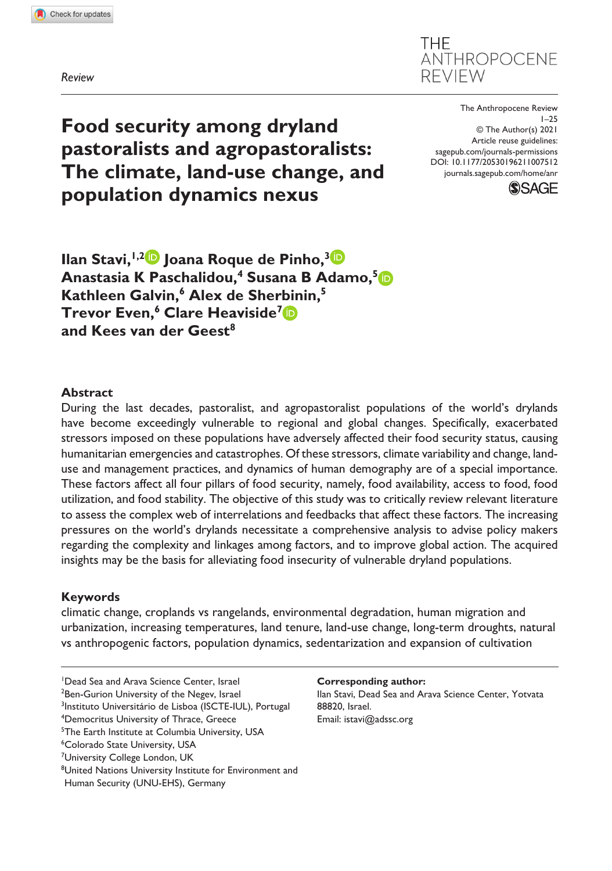*Review*



DOI: 10.1177/20530196211007512 The Anthropocene Review 1–25 © The Author(s) 2021 Article reuse guidelines: [sagepub.com/journals-permissions](https://uk.sagepub.com/en-gb/journals-permissions) [journals.sagepub.com/home/anr](https://journals.sagepub.com/home/anr)



**Food security among dryland pastoralists and agropastoralists: The climate, land-use change, and population dynamics nexus**

**Ilan Stavi, <sup>1,2</sup> Joana Roque de Pinho, 3 Anastasia K Paschalidou,4 Susana B Adamo,5 Kathleen Galvin,6 Alex de Sherbinin,5 Trevor Even,<sup>6</sup> Clare Heaviside<sup>7</sup>D** and Kees van der Geest<sup>8</sup>

#### **Abstract**

During the last decades, pastoralist, and agropastoralist populations of the world's drylands have become exceedingly vulnerable to regional and global changes. Specifically, exacerbated stressors imposed on these populations have adversely affected their food security status, causing humanitarian emergencies and catastrophes. Of these stressors, climate variability and change, landuse and management practices, and dynamics of human demography are of a special importance. These factors affect all four pillars of food security, namely, food availability, access to food, food utilization, and food stability. The objective of this study was to critically review relevant literature to assess the complex web of interrelations and feedbacks that affect these factors. The increasing pressures on the world's drylands necessitate a comprehensive analysis to advise policy makers regarding the complexity and linkages among factors, and to improve global action. The acquired insights may be the basis for alleviating food insecurity of vulnerable dryland populations.

## **Keywords**

climatic change, croplands vs rangelands, environmental degradation, human migration and urbanization, increasing temperatures, land tenure, land-use change, long-term droughts, natural vs anthropogenic factors, population dynamics, sedentarization and expansion of cultivation

- 1 Dead Sea and Arava Science Center, Israel
- <sup>2</sup>Ben-Gurion University of the Negev, Israel
- <sup>3</sup>Instituto Universitário de Lisboa (ISCTE-IUL), Portugal
- 4 Democritus University of Thrace, Greece

#### **Corresponding author:**

Ilan Stavi, Dead Sea and Arava Science Center, Yotvata 88820, Israel. Email: [istavi@adssc.org](mailto:istavi@adssc.org)

<sup>&</sup>lt;sup>5</sup>The Earth Institute at Columbia University, USA

<sup>6</sup> Colorado State University, USA

<sup>&</sup>lt;sup>7</sup>University College London, UK

<sup>8</sup> United Nations University Institute for Environment and

Human Security (UNU-EHS), Germany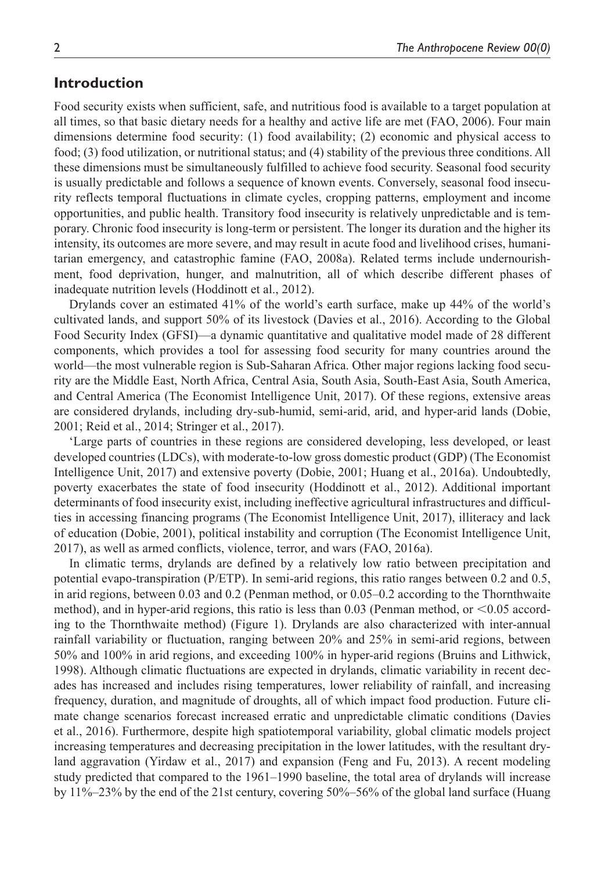## **Introduction**

Food security exists when sufficient, safe, and nutritious food is available to a target population at all times, so that basic dietary needs for a healthy and active life are met (FAO, 2006). Four main dimensions determine food security: (1) food availability; (2) economic and physical access to food; (3) food utilization, or nutritional status; and (4) stability of the previous three conditions. All these dimensions must be simultaneously fulfilled to achieve food security. Seasonal food security is usually predictable and follows a sequence of known events. Conversely, seasonal food insecurity reflects temporal fluctuations in climate cycles, cropping patterns, employment and income opportunities, and public health. Transitory food insecurity is relatively unpredictable and is temporary. Chronic food insecurity is long-term or persistent. The longer its duration and the higher its intensity, its outcomes are more severe, and may result in acute food and livelihood crises, humanitarian emergency, and catastrophic famine (FAO, 2008a). Related terms include undernourishment, food deprivation, hunger, and malnutrition, all of which describe different phases of inadequate nutrition levels (Hoddinott et al., 2012).

Drylands cover an estimated 41% of the world's earth surface, make up 44% of the world's cultivated lands, and support 50% of its livestock (Davies et al., 2016). According to the Global Food Security Index (GFSI)—a dynamic quantitative and qualitative model made of 28 different components, which provides a tool for assessing food security for many countries around the world—the most vulnerable region is Sub-Saharan Africa. Other major regions lacking food security are the Middle East, North Africa, Central Asia, South Asia, South-East Asia, South America, and Central America (The Economist Intelligence Unit, 2017). Of these regions, extensive areas are considered drylands, including dry-sub-humid, semi-arid, arid, and hyper-arid lands (Dobie, 2001; Reid et al., 2014; Stringer et al., 2017).

'Large parts of countries in these regions are considered developing, less developed, or least developed countries (LDCs), with moderate-to-low gross domestic product (GDP) (The Economist Intelligence Unit, 2017) and extensive poverty (Dobie, 2001; Huang et al., 2016a). Undoubtedly, poverty exacerbates the state of food insecurity (Hoddinott et al., 2012). Additional important determinants of food insecurity exist, including ineffective agricultural infrastructures and difficulties in accessing financing programs (The Economist Intelligence Unit, 2017), illiteracy and lack of education (Dobie, 2001), political instability and corruption (The Economist Intelligence Unit, 2017), as well as armed conflicts, violence, terror, and wars (FAO, 2016a).

In climatic terms, drylands are defined by a relatively low ratio between precipitation and potential evapo-transpiration (P/ETP). In semi-arid regions, this ratio ranges between 0.2 and 0.5, in arid regions, between 0.03 and 0.2 (Penman method, or 0.05–0.2 according to the Thornthwaite method), and in hyper-arid regions, this ratio is less than 0.03 (Penman method, or  $\leq 0.05$  according to the Thornthwaite method) (Figure 1). Drylands are also characterized with inter-annual rainfall variability or fluctuation, ranging between 20% and 25% in semi-arid regions, between 50% and 100% in arid regions, and exceeding 100% in hyper-arid regions (Bruins and Lithwick, 1998). Although climatic fluctuations are expected in drylands, climatic variability in recent decades has increased and includes rising temperatures, lower reliability of rainfall, and increasing frequency, duration, and magnitude of droughts, all of which impact food production. Future climate change scenarios forecast increased erratic and unpredictable climatic conditions (Davies et al., 2016). Furthermore, despite high spatiotemporal variability, global climatic models project increasing temperatures and decreasing precipitation in the lower latitudes, with the resultant dryland aggravation (Yirdaw et al., 2017) and expansion (Feng and Fu, 2013). A recent modeling study predicted that compared to the 1961–1990 baseline, the total area of drylands will increase by 11%–23% by the end of the 21st century, covering 50%–56% of the global land surface (Huang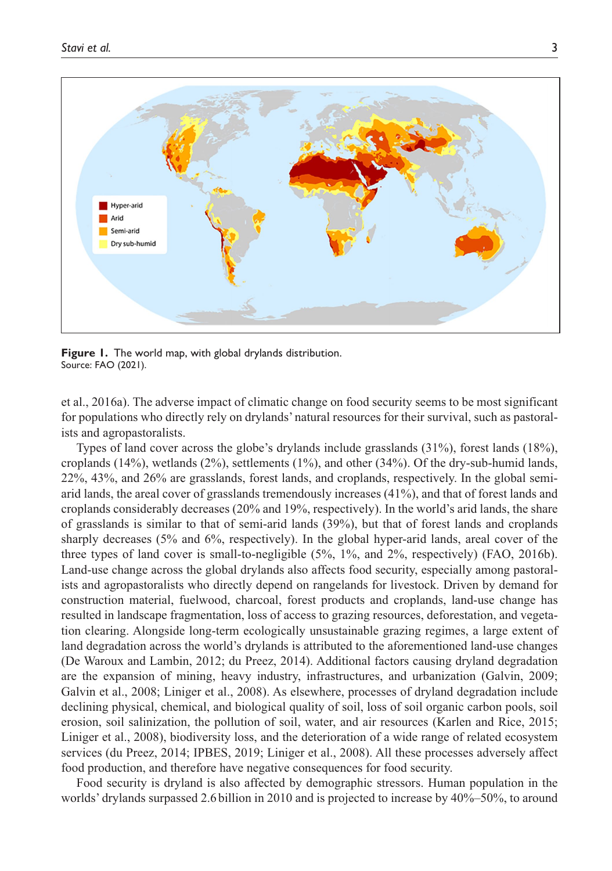

**Figure 1.** The world map, with global drylands distribution. Source: FAO (2021).

et al., 2016a). The adverse impact of climatic change on food security seems to be most significant for populations who directly rely on drylands' natural resources for their survival, such as pastoralists and agropastoralists.

Types of land cover across the globe's drylands include grasslands (31%), forest lands (18%), croplands  $(14%)$ , wetlands  $(2%)$ , settlements  $(1%)$ , and other  $(34%)$ . Of the dry-sub-humid lands, 22%, 43%, and 26% are grasslands, forest lands, and croplands, respectively. In the global semiarid lands, the areal cover of grasslands tremendously increases (41%), and that of forest lands and croplands considerably decreases (20% and 19%, respectively). In the world's arid lands, the share of grasslands is similar to that of semi-arid lands (39%), but that of forest lands and croplands sharply decreases (5% and 6%, respectively). In the global hyper-arid lands, areal cover of the three types of land cover is small-to-negligible (5%, 1%, and 2%, respectively) (FAO, 2016b). Land-use change across the global drylands also affects food security, especially among pastoralists and agropastoralists who directly depend on rangelands for livestock. Driven by demand for construction material, fuelwood, charcoal, forest products and croplands, land-use change has resulted in landscape fragmentation, loss of access to grazing resources, deforestation, and vegetation clearing. Alongside long-term ecologically unsustainable grazing regimes, a large extent of land degradation across the world's drylands is attributed to the aforementioned land-use changes (De Waroux and Lambin, 2012; du Preez, 2014). Additional factors causing dryland degradation are the expansion of mining, heavy industry, infrastructures, and urbanization (Galvin, 2009; Galvin et al., 2008; Liniger et al., 2008). As elsewhere, processes of dryland degradation include declining physical, chemical, and biological quality of soil, loss of soil organic carbon pools, soil erosion, soil salinization, the pollution of soil, water, and air resources (Karlen and Rice, 2015; Liniger et al., 2008), biodiversity loss, and the deterioration of a wide range of related ecosystem services (du Preez, 2014; IPBES, 2019; Liniger et al., 2008). All these processes adversely affect food production, and therefore have negative consequences for food security.

Food security is dryland is also affected by demographic stressors. Human population in the worlds' drylands surpassed 2.6 billion in 2010 and is projected to increase by 40%–50%, to around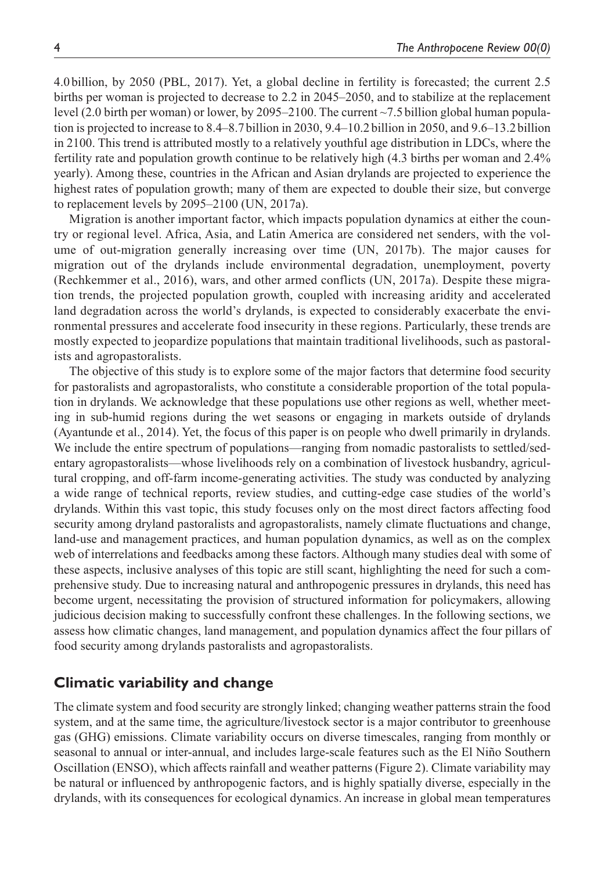4.0billion, by 2050 (PBL, 2017). Yet, a global decline in fertility is forecasted; the current 2.5 births per woman is projected to decrease to 2.2 in 2045–2050, and to stabilize at the replacement level (2.0 birth per woman) or lower, by 2095–2100. The current ~7.5 billion global human population is projected to increase to 8.4–8.7 billion in 2030, 9.4–10.2 billion in 2050, and 9.6–13.2 billion in 2100. This trend is attributed mostly to a relatively youthful age distribution in LDCs, where the fertility rate and population growth continue to be relatively high (4.3 births per woman and 2.4% yearly). Among these, countries in the African and Asian drylands are projected to experience the highest rates of population growth; many of them are expected to double their size, but converge to replacement levels by 2095–2100 (UN, 2017a).

Migration is another important factor, which impacts population dynamics at either the country or regional level. Africa, Asia, and Latin America are considered net senders, with the volume of out-migration generally increasing over time (UN, 2017b). The major causes for migration out of the drylands include environmental degradation, unemployment, poverty (Rechkemmer et al., 2016), wars, and other armed conflicts (UN, 2017a). Despite these migration trends, the projected population growth, coupled with increasing aridity and accelerated land degradation across the world's drylands, is expected to considerably exacerbate the environmental pressures and accelerate food insecurity in these regions. Particularly, these trends are mostly expected to jeopardize populations that maintain traditional livelihoods, such as pastoralists and agropastoralists.

The objective of this study is to explore some of the major factors that determine food security for pastoralists and agropastoralists, who constitute a considerable proportion of the total population in drylands. We acknowledge that these populations use other regions as well, whether meeting in sub-humid regions during the wet seasons or engaging in markets outside of drylands (Ayantunde et al., 2014). Yet, the focus of this paper is on people who dwell primarily in drylands. We include the entire spectrum of populations—ranging from nomadic pastoralists to settled/sedentary agropastoralists—whose livelihoods rely on a combination of livestock husbandry, agricultural cropping, and off-farm income-generating activities. The study was conducted by analyzing a wide range of technical reports, review studies, and cutting-edge case studies of the world's drylands. Within this vast topic, this study focuses only on the most direct factors affecting food security among dryland pastoralists and agropastoralists, namely climate fluctuations and change, land-use and management practices, and human population dynamics, as well as on the complex web of interrelations and feedbacks among these factors. Although many studies deal with some of these aspects, inclusive analyses of this topic are still scant, highlighting the need for such a comprehensive study. Due to increasing natural and anthropogenic pressures in drylands, this need has become urgent, necessitating the provision of structured information for policymakers, allowing judicious decision making to successfully confront these challenges. In the following sections, we assess how climatic changes, land management, and population dynamics affect the four pillars of food security among drylands pastoralists and agropastoralists.

# **Climatic variability and change**

The climate system and food security are strongly linked; changing weather patterns strain the food system, and at the same time, the agriculture/livestock sector is a major contributor to greenhouse gas (GHG) emissions. Climate variability occurs on diverse timescales, ranging from monthly or seasonal to annual or inter-annual, and includes large-scale features such as the El Niño Southern Oscillation (ENSO), which affects rainfall and weather patterns (Figure 2). Climate variability may be natural or influenced by anthropogenic factors, and is highly spatially diverse, especially in the drylands, with its consequences for ecological dynamics. An increase in global mean temperatures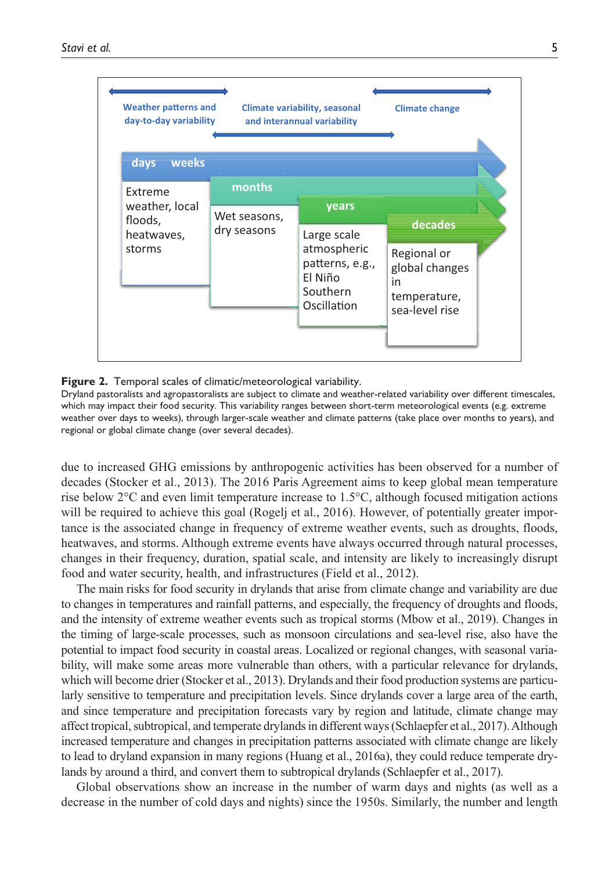

**Figure 2.** Temporal scales of climatic/meteorological variability.

Dryland pastoralists and agropastoralists are subject to climate and weather-related variability over different timescales, which may impact their food security. This variability ranges between short-term meteorological events (e.g. extreme weather over days to weeks), through larger-scale weather and climate patterns (take place over months to years), and regional or global climate change (over several decades).

due to increased GHG emissions by anthropogenic activities has been observed for a number of decades (Stocker et al., 2013). The 2016 Paris Agreement aims to keep global mean temperature rise below 2°C and even limit temperature increase to 1.5°C, although focused mitigation actions will be required to achieve this goal (Rogelj et al., 2016). However, of potentially greater importance is the associated change in frequency of extreme weather events, such as droughts, floods, heatwaves, and storms. Although extreme events have always occurred through natural processes, changes in their frequency, duration, spatial scale, and intensity are likely to increasingly disrupt food and water security, health, and infrastructures (Field et al., 2012).

The main risks for food security in drylands that arise from climate change and variability are due to changes in temperatures and rainfall patterns, and especially, the frequency of droughts and floods, and the intensity of extreme weather events such as tropical storms (Mbow et al., 2019). Changes in the timing of large-scale processes, such as monsoon circulations and sea-level rise, also have the potential to impact food security in coastal areas. Localized or regional changes, with seasonal variability, will make some areas more vulnerable than others, with a particular relevance for drylands, which will become drier (Stocker et al., 2013). Drylands and their food production systems are particularly sensitive to temperature and precipitation levels. Since drylands cover a large area of the earth, and since temperature and precipitation forecasts vary by region and latitude, climate change may affect tropical, subtropical, and temperate drylands in different ways (Schlaepfer et al., 2017). Although increased temperature and changes in precipitation patterns associated with climate change are likely to lead to dryland expansion in many regions (Huang et al., 2016a), they could reduce temperate drylands by around a third, and convert them to subtropical drylands (Schlaepfer et al., 2017).

Global observations show an increase in the number of warm days and nights (as well as a decrease in the number of cold days and nights) since the 1950s. Similarly, the number and length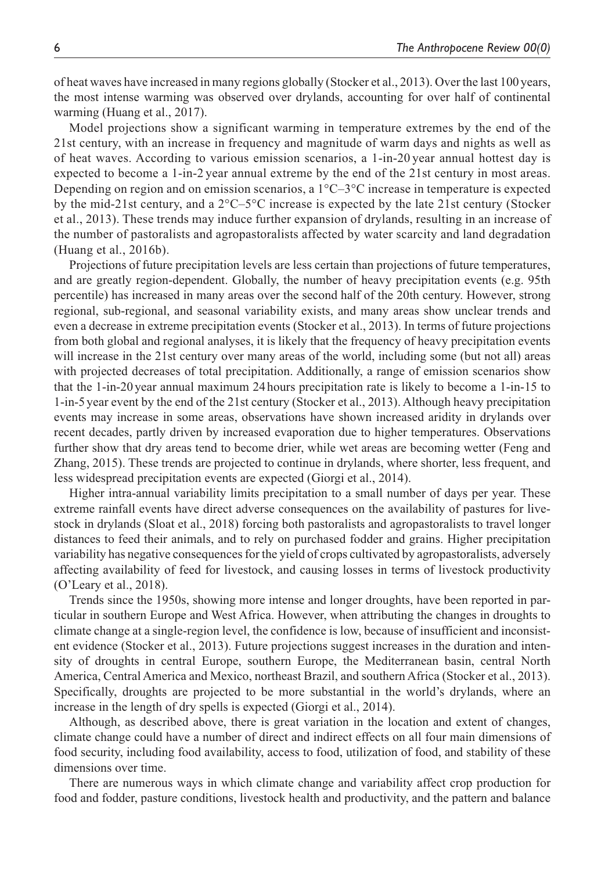of heat waves have increased in many regions globally (Stocker et al., 2013). Over the last 100 years, the most intense warming was observed over drylands, accounting for over half of continental warming (Huang et al., 2017).

Model projections show a significant warming in temperature extremes by the end of the 21st century, with an increase in frequency and magnitude of warm days and nights as well as of heat waves. According to various emission scenarios, a 1-in-20 year annual hottest day is expected to become a 1-in-2 year annual extreme by the end of the 21st century in most areas. Depending on region and on emission scenarios, a  $1^{\circ}C-3^{\circ}C$  increase in temperature is expected by the mid-21st century, and a 2°C–5°C increase is expected by the late 21st century (Stocker et al., 2013). These trends may induce further expansion of drylands, resulting in an increase of the number of pastoralists and agropastoralists affected by water scarcity and land degradation (Huang et al., 2016b).

Projections of future precipitation levels are less certain than projections of future temperatures, and are greatly region-dependent. Globally, the number of heavy precipitation events (e.g. 95th percentile) has increased in many areas over the second half of the 20th century. However, strong regional, sub-regional, and seasonal variability exists, and many areas show unclear trends and even a decrease in extreme precipitation events (Stocker et al., 2013). In terms of future projections from both global and regional analyses, it is likely that the frequency of heavy precipitation events will increase in the 21st century over many areas of the world, including some (but not all) areas with projected decreases of total precipitation. Additionally, a range of emission scenarios show that the 1-in-20year annual maximum 24 hours precipitation rate is likely to become a 1-in-15 to 1-in-5 year event by the end of the 21st century (Stocker et al., 2013). Although heavy precipitation events may increase in some areas, observations have shown increased aridity in drylands over recent decades, partly driven by increased evaporation due to higher temperatures. Observations further show that dry areas tend to become drier, while wet areas are becoming wetter (Feng and Zhang, 2015). These trends are projected to continue in drylands, where shorter, less frequent, and less widespread precipitation events are expected (Giorgi et al., 2014).

Higher intra-annual variability limits precipitation to a small number of days per year. These extreme rainfall events have direct adverse consequences on the availability of pastures for livestock in drylands (Sloat et al., 2018) forcing both pastoralists and agropastoralists to travel longer distances to feed their animals, and to rely on purchased fodder and grains. Higher precipitation variability has negative consequences for the yield of crops cultivated by agropastoralists, adversely affecting availability of feed for livestock, and causing losses in terms of livestock productivity (O'Leary et al., 2018).

Trends since the 1950s, showing more intense and longer droughts, have been reported in particular in southern Europe and West Africa. However, when attributing the changes in droughts to climate change at a single-region level, the confidence is low, because of insufficient and inconsistent evidence (Stocker et al., 2013). Future projections suggest increases in the duration and intensity of droughts in central Europe, southern Europe, the Mediterranean basin, central North America, Central America and Mexico, northeast Brazil, and southern Africa (Stocker et al., 2013). Specifically, droughts are projected to be more substantial in the world's drylands, where an increase in the length of dry spells is expected (Giorgi et al., 2014).

Although, as described above, there is great variation in the location and extent of changes, climate change could have a number of direct and indirect effects on all four main dimensions of food security, including food availability, access to food, utilization of food, and stability of these dimensions over time.

There are numerous ways in which climate change and variability affect crop production for food and fodder, pasture conditions, livestock health and productivity, and the pattern and balance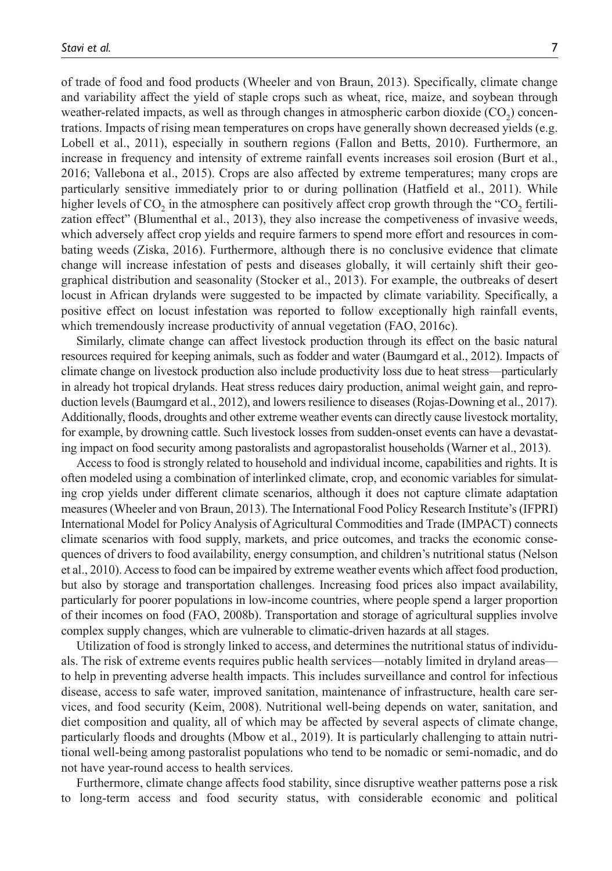of trade of food and food products (Wheeler and von Braun, 2013). Specifically, climate change and variability affect the yield of staple crops such as wheat, rice, maize, and soybean through weather-related impacts, as well as through changes in atmospheric carbon dioxide  $(CO<sub>2</sub>)$  concentrations. Impacts of rising mean temperatures on crops have generally shown decreased yields (e.g. Lobell et al., 2011), especially in southern regions (Fallon and Betts, 2010). Furthermore, an increase in frequency and intensity of extreme rainfall events increases soil erosion (Burt et al., 2016; Vallebona et al., 2015). Crops are also affected by extreme temperatures; many crops are particularly sensitive immediately prior to or during pollination (Hatfield et al., 2011). While higher levels of  $CO<sub>2</sub>$  in the atmosphere can positively affect crop growth through the "CO<sub>2</sub> fertilization effect" (Blumenthal et al., 2013), they also increase the competiveness of invasive weeds, which adversely affect crop yields and require farmers to spend more effort and resources in combating weeds (Ziska, 2016). Furthermore, although there is no conclusive evidence that climate change will increase infestation of pests and diseases globally, it will certainly shift their geographical distribution and seasonality (Stocker et al., 2013). For example, the outbreaks of desert locust in African drylands were suggested to be impacted by climate variability. Specifically, a positive effect on locust infestation was reported to follow exceptionally high rainfall events, which tremendously increase productivity of annual vegetation (FAO, 2016c).

Similarly, climate change can affect livestock production through its effect on the basic natural resources required for keeping animals, such as fodder and water (Baumgard et al., 2012). Impacts of climate change on livestock production also include productivity loss due to heat stress—particularly in already hot tropical drylands. Heat stress reduces dairy production, animal weight gain, and reproduction levels (Baumgard et al., 2012), and lowers resilience to diseases (Rojas-Downing et al., 2017). Additionally, floods, droughts and other extreme weather events can directly cause livestock mortality, for example, by drowning cattle. Such livestock losses from sudden-onset events can have a devastating impact on food security among pastoralists and agropastoralist households (Warner et al., 2013).

Access to food is strongly related to household and individual income, capabilities and rights. It is often modeled using a combination of interlinked climate, crop, and economic variables for simulating crop yields under different climate scenarios, although it does not capture climate adaptation measures (Wheeler and von Braun, 2013). The International Food Policy Research Institute's (IFPRI) International Model for Policy Analysis of Agricultural Commodities and Trade (IMPACT) connects climate scenarios with food supply, markets, and price outcomes, and tracks the economic consequences of drivers to food availability, energy consumption, and children's nutritional status (Nelson et al., 2010). Access to food can be impaired by extreme weather events which affect food production, but also by storage and transportation challenges. Increasing food prices also impact availability, particularly for poorer populations in low-income countries, where people spend a larger proportion of their incomes on food (FAO, 2008b). Transportation and storage of agricultural supplies involve complex supply changes, which are vulnerable to climatic-driven hazards at all stages.

Utilization of food is strongly linked to access, and determines the nutritional status of individuals. The risk of extreme events requires public health services—notably limited in dryland areas to help in preventing adverse health impacts. This includes surveillance and control for infectious disease, access to safe water, improved sanitation, maintenance of infrastructure, health care services, and food security (Keim, 2008). Nutritional well-being depends on water, sanitation, and diet composition and quality, all of which may be affected by several aspects of climate change, particularly floods and droughts (Mbow et al., 2019). It is particularly challenging to attain nutritional well-being among pastoralist populations who tend to be nomadic or semi-nomadic, and do not have year-round access to health services.

Furthermore, climate change affects food stability, since disruptive weather patterns pose a risk to long-term access and food security status, with considerable economic and political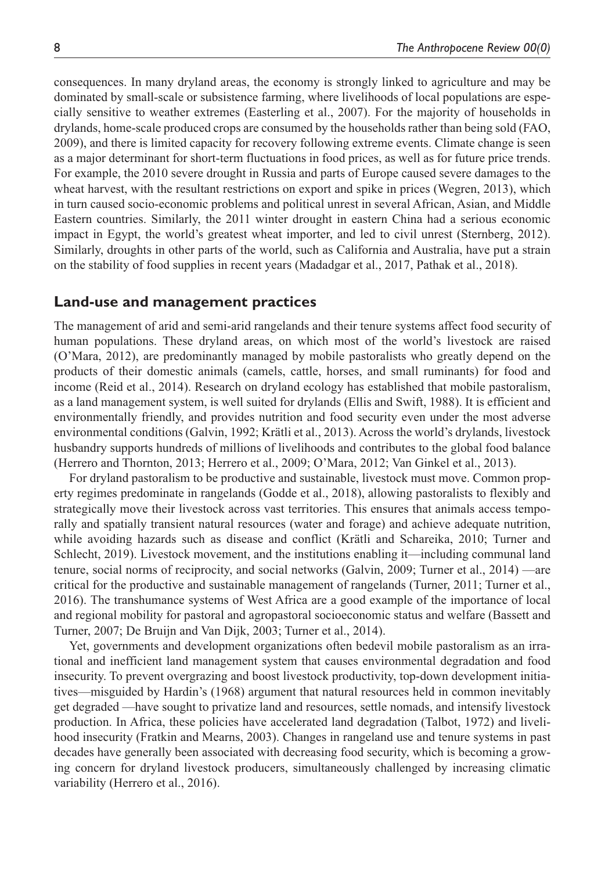consequences. In many dryland areas, the economy is strongly linked to agriculture and may be dominated by small-scale or subsistence farming, where livelihoods of local populations are especially sensitive to weather extremes (Easterling et al., 2007). For the majority of households in drylands, home-scale produced crops are consumed by the households rather than being sold (FAO, 2009), and there is limited capacity for recovery following extreme events. Climate change is seen as a major determinant for short-term fluctuations in food prices, as well as for future price trends. For example, the 2010 severe drought in Russia and parts of Europe caused severe damages to the wheat harvest, with the resultant restrictions on export and spike in prices (Wegren, 2013), which in turn caused socio-economic problems and political unrest in several African, Asian, and Middle Eastern countries. Similarly, the 2011 winter drought in eastern China had a serious economic impact in Egypt, the world's greatest wheat importer, and led to civil unrest (Sternberg, 2012). Similarly, droughts in other parts of the world, such as California and Australia, have put a strain on the stability of food supplies in recent years (Madadgar et al., 2017, Pathak et al., 2018).

## **Land-use and management practices**

The management of arid and semi-arid rangelands and their tenure systems affect food security of human populations. These dryland areas, on which most of the world's livestock are raised (O'Mara, 2012), are predominantly managed by mobile pastoralists who greatly depend on the products of their domestic animals (camels, cattle, horses, and small ruminants) for food and income (Reid et al., 2014). Research on dryland ecology has established that mobile pastoralism, as a land management system, is well suited for drylands (Ellis and Swift, 1988). It is efficient and environmentally friendly, and provides nutrition and food security even under the most adverse environmental conditions (Galvin, 1992; Krätli et al., 2013). Across the world's drylands, livestock husbandry supports hundreds of millions of livelihoods and contributes to the global food balance (Herrero and Thornton, 2013; Herrero et al., 2009; O'Mara, 2012; Van Ginkel et al., 2013).

For dryland pastoralism to be productive and sustainable, livestock must move. Common property regimes predominate in rangelands (Godde et al., 2018), allowing pastoralists to flexibly and strategically move their livestock across vast territories. This ensures that animals access temporally and spatially transient natural resources (water and forage) and achieve adequate nutrition, while avoiding hazards such as disease and conflict (Krätli and Schareika, 2010; Turner and Schlecht, 2019). Livestock movement, and the institutions enabling it—including communal land tenure, social norms of reciprocity, and social networks (Galvin, 2009; Turner et al., 2014) —are critical for the productive and sustainable management of rangelands (Turner, 2011; Turner et al., 2016). The transhumance systems of West Africa are a good example of the importance of local and regional mobility for pastoral and agropastoral socioeconomic status and welfare (Bassett and Turner, 2007; De Bruijn and Van Dijk, 2003; Turner et al., 2014).

Yet, governments and development organizations often bedevil mobile pastoralism as an irrational and inefficient land management system that causes environmental degradation and food insecurity. To prevent overgrazing and boost livestock productivity, top-down development initiatives—misguided by Hardin's (1968) argument that natural resources held in common inevitably get degraded —have sought to privatize land and resources, settle nomads, and intensify livestock production. In Africa, these policies have accelerated land degradation (Talbot, 1972) and livelihood insecurity (Fratkin and Mearns, 2003). Changes in rangeland use and tenure systems in past decades have generally been associated with decreasing food security, which is becoming a growing concern for dryland livestock producers, simultaneously challenged by increasing climatic variability (Herrero et al., 2016).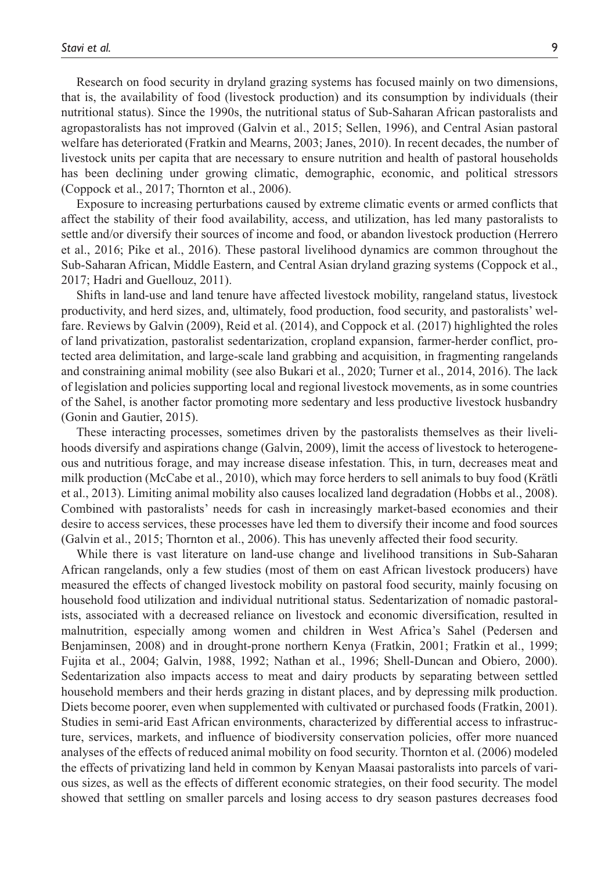Research on food security in dryland grazing systems has focused mainly on two dimensions, that is, the availability of food (livestock production) and its consumption by individuals (their nutritional status). Since the 1990s, the nutritional status of Sub-Saharan African pastoralists and agropastoralists has not improved (Galvin et al., 2015; Sellen, 1996), and Central Asian pastoral welfare has deteriorated (Fratkin and Mearns, 2003; Janes, 2010). In recent decades, the number of livestock units per capita that are necessary to ensure nutrition and health of pastoral households has been declining under growing climatic, demographic, economic, and political stressors (Coppock et al., 2017; Thornton et al., 2006).

Exposure to increasing perturbations caused by extreme climatic events or armed conflicts that affect the stability of their food availability, access, and utilization, has led many pastoralists to settle and/or diversify their sources of income and food, or abandon livestock production (Herrero et al., 2016; Pike et al., 2016). These pastoral livelihood dynamics are common throughout the Sub-Saharan African, Middle Eastern, and Central Asian dryland grazing systems (Coppock et al., 2017; Hadri and Guellouz, 2011).

Shifts in land-use and land tenure have affected livestock mobility, rangeland status, livestock productivity, and herd sizes, and, ultimately, food production, food security, and pastoralists' welfare. Reviews by Galvin (2009), Reid et al. (2014), and Coppock et al. (2017) highlighted the roles of land privatization, pastoralist sedentarization, cropland expansion, farmer-herder conflict, protected area delimitation, and large-scale land grabbing and acquisition, in fragmenting rangelands and constraining animal mobility (see also Bukari et al., 2020; Turner et al., 2014, 2016). The lack of legislation and policies supporting local and regional livestock movements, as in some countries of the Sahel, is another factor promoting more sedentary and less productive livestock husbandry (Gonin and Gautier, 2015).

These interacting processes, sometimes driven by the pastoralists themselves as their livelihoods diversify and aspirations change (Galvin, 2009), limit the access of livestock to heterogeneous and nutritious forage, and may increase disease infestation. This, in turn, decreases meat and milk production (McCabe et al., 2010), which may force herders to sell animals to buy food (Krätli et al., 2013). Limiting animal mobility also causes localized land degradation (Hobbs et al., 2008). Combined with pastoralists' needs for cash in increasingly market-based economies and their desire to access services, these processes have led them to diversify their income and food sources (Galvin et al., 2015; Thornton et al., 2006). This has unevenly affected their food security.

While there is vast literature on land-use change and livelihood transitions in Sub-Saharan African rangelands, only a few studies (most of them on east African livestock producers) have measured the effects of changed livestock mobility on pastoral food security, mainly focusing on household food utilization and individual nutritional status. Sedentarization of nomadic pastoralists, associated with a decreased reliance on livestock and economic diversification, resulted in malnutrition, especially among women and children in West Africa's Sahel (Pedersen and Benjaminsen, 2008) and in drought-prone northern Kenya (Fratkin, 2001; Fratkin et al., 1999; Fujita et al., 2004; Galvin, 1988, 1992; Nathan et al., 1996; Shell-Duncan and Obiero, 2000). Sedentarization also impacts access to meat and dairy products by separating between settled household members and their herds grazing in distant places, and by depressing milk production. Diets become poorer, even when supplemented with cultivated or purchased foods (Fratkin, 2001). Studies in semi-arid East African environments, characterized by differential access to infrastructure, services, markets, and influence of biodiversity conservation policies, offer more nuanced analyses of the effects of reduced animal mobility on food security. Thornton et al. (2006) modeled the effects of privatizing land held in common by Kenyan Maasai pastoralists into parcels of various sizes, as well as the effects of different economic strategies, on their food security. The model showed that settling on smaller parcels and losing access to dry season pastures decreases food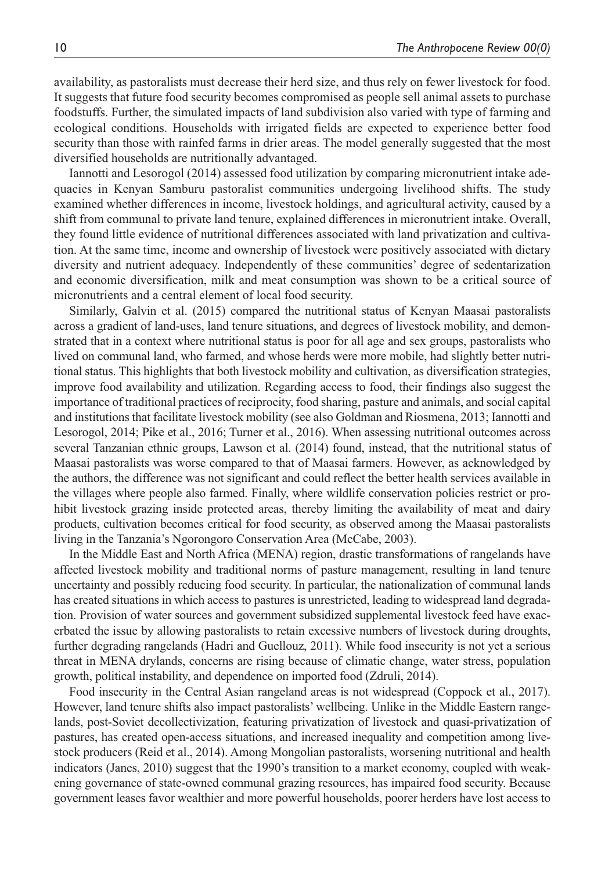availability, as pastoralists must decrease their herd size, and thus rely on fewer livestock for food. It suggests that future food security becomes compromised as people sell animal assets to purchase foodstuffs. Further, the simulated impacts of land subdivision also varied with type of farming and ecological conditions. Households with irrigated fields are expected to experience better food security than those with rainfed farms in drier areas. The model generally suggested that the most diversified households are nutritionally advantaged.

Iannotti and Lesorogol (2014) assessed food utilization by comparing micronutrient intake adequacies in Kenyan Samburu pastoralist communities undergoing livelihood shifts. The study examined whether differences in income, livestock holdings, and agricultural activity, caused by a shift from communal to private land tenure, explained differences in micronutrient intake. Overall, they found little evidence of nutritional differences associated with land privatization and cultivation. At the same time, income and ownership of livestock were positively associated with dietary diversity and nutrient adequacy. Independently of these communities' degree of sedentarization and economic diversification, milk and meat consumption was shown to be a critical source of micronutrients and a central element of local food security.

Similarly, Galvin et al. (2015) compared the nutritional status of Kenyan Maasai pastoralists across a gradient of land-uses, land tenure situations, and degrees of livestock mobility, and demonstrated that in a context where nutritional status is poor for all age and sex groups, pastoralists who lived on communal land, who farmed, and whose herds were more mobile, had slightly better nutritional status. This highlights that both livestock mobility and cultivation, as diversification strategies, improve food availability and utilization. Regarding access to food, their findings also suggest the importance of traditional practices of reciprocity, food sharing, pasture and animals, and social capital and institutions that facilitate livestock mobility (see also Goldman and Riosmena, 2013; Iannotti and Lesorogol, 2014; Pike et al., 2016; Turner et al., 2016). When assessing nutritional outcomes across several Tanzanian ethnic groups, Lawson et al. (2014) found, instead, that the nutritional status of Maasai pastoralists was worse compared to that of Maasai farmers. However, as acknowledged by the authors, the difference was not significant and could reflect the better health services available in the villages where people also farmed. Finally, where wildlife conservation policies restrict or prohibit livestock grazing inside protected areas, thereby limiting the availability of meat and dairy products, cultivation becomes critical for food security, as observed among the Maasai pastoralists living in the Tanzania's Ngorongoro Conservation Area (McCabe, 2003).

In the Middle East and North Africa (MENA) region, drastic transformations of rangelands have affected livestock mobility and traditional norms of pasture management, resulting in land tenure uncertainty and possibly reducing food security. In particular, the nationalization of communal lands has created situations in which access to pastures is unrestricted, leading to widespread land degradation. Provision of water sources and government subsidized supplemental livestock feed have exacerbated the issue by allowing pastoralists to retain excessive numbers of livestock during droughts, further degrading rangelands (Hadri and Guellouz, 2011). While food insecurity is not yet a serious threat in MENA drylands, concerns are rising because of climatic change, water stress, population growth, political instability, and dependence on imported food (Zdruli, 2014).

Food insecurity in the Central Asian rangeland areas is not widespread (Coppock et al., 2017). However, land tenure shifts also impact pastoralists' wellbeing. Unlike in the Middle Eastern rangelands, post-Soviet decollectivization, featuring privatization of livestock and quasi-privatization of pastures, has created open-access situations, and increased inequality and competition among livestock producers (Reid et al., 2014). Among Mongolian pastoralists, worsening nutritional and health indicators (Janes, 2010) suggest that the 1990's transition to a market economy, coupled with weakening governance of state-owned communal grazing resources, has impaired food security. Because government leases favor wealthier and more powerful households, poorer herders have lost access to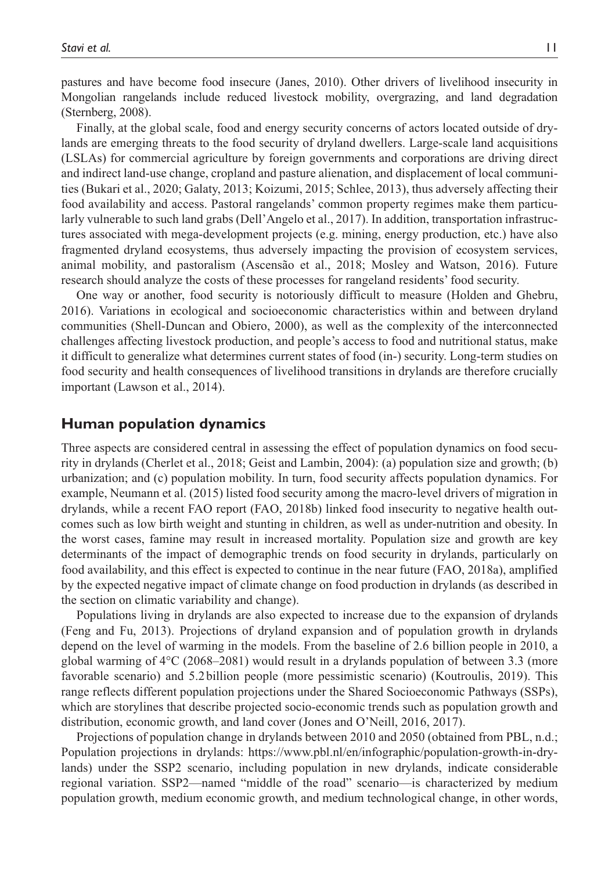pastures and have become food insecure (Janes, 2010). Other drivers of livelihood insecurity in Mongolian rangelands include reduced livestock mobility, overgrazing, and land degradation (Sternberg, 2008).

Finally, at the global scale, food and energy security concerns of actors located outside of drylands are emerging threats to the food security of dryland dwellers. Large-scale land acquisitions (LSLAs) for commercial agriculture by foreign governments and corporations are driving direct and indirect land-use change, cropland and pasture alienation, and displacement of local communities (Bukari et al., 2020; Galaty, 2013; Koizumi, 2015; Schlee, 2013), thus adversely affecting their food availability and access. Pastoral rangelands' common property regimes make them particularly vulnerable to such land grabs (Dell'Angelo et al., 2017). In addition, transportation infrastructures associated with mega-development projects (e.g. mining, energy production, etc.) have also fragmented dryland ecosystems, thus adversely impacting the provision of ecosystem services, animal mobility, and pastoralism (Ascensão et al., 2018; Mosley and Watson, 2016). Future research should analyze the costs of these processes for rangeland residents' food security.

One way or another, food security is notoriously difficult to measure (Holden and Ghebru, 2016). Variations in ecological and socioeconomic characteristics within and between dryland communities (Shell-Duncan and Obiero, 2000), as well as the complexity of the interconnected challenges affecting livestock production, and people's access to food and nutritional status, make it difficult to generalize what determines current states of food (in-) security. Long-term studies on food security and health consequences of livelihood transitions in drylands are therefore crucially important (Lawson et al., 2014).

## **Human population dynamics**

Three aspects are considered central in assessing the effect of population dynamics on food security in drylands (Cherlet et al., 2018; Geist and Lambin, 2004): (a) population size and growth; (b) urbanization; and (c) population mobility. In turn, food security affects population dynamics. For example, Neumann et al. (2015) listed food security among the macro-level drivers of migration in drylands, while a recent FAO report (FAO, 2018b) linked food insecurity to negative health outcomes such as low birth weight and stunting in children, as well as under-nutrition and obesity. In the worst cases, famine may result in increased mortality. Population size and growth are key determinants of the impact of demographic trends on food security in drylands, particularly on food availability, and this effect is expected to continue in the near future (FAO, 2018a), amplified by the expected negative impact of climate change on food production in drylands (as described in the section on climatic variability and change).

Populations living in drylands are also expected to increase due to the expansion of drylands (Feng and Fu, 2013). Projections of dryland expansion and of population growth in drylands depend on the level of warming in the models. From the baseline of 2.6 billion people in 2010, a global warming of 4°C (2068–2081) would result in a drylands population of between 3.3 (more favorable scenario) and 5.2billion people (more pessimistic scenario) (Koutroulis, 2019). This range reflects different population projections under the Shared Socioeconomic Pathways (SSPs), which are storylines that describe projected socio-economic trends such as population growth and distribution, economic growth, and land cover (Jones and O'Neill, 2016, 2017).

Projections of population change in drylands between 2010 and 2050 (obtained from PBL, n.d.; Population projections in drylands: [https://www.pbl.nl/en/infographic/population-growth-in-dry](https://www.pbl.nl/en/infographic/population-growth-in-drylands)[lands](https://www.pbl.nl/en/infographic/population-growth-in-drylands)) under the SSP2 scenario, including population in new drylands, indicate considerable regional variation. SSP2—named "middle of the road" scenario—is characterized by medium population growth, medium economic growth, and medium technological change, in other words,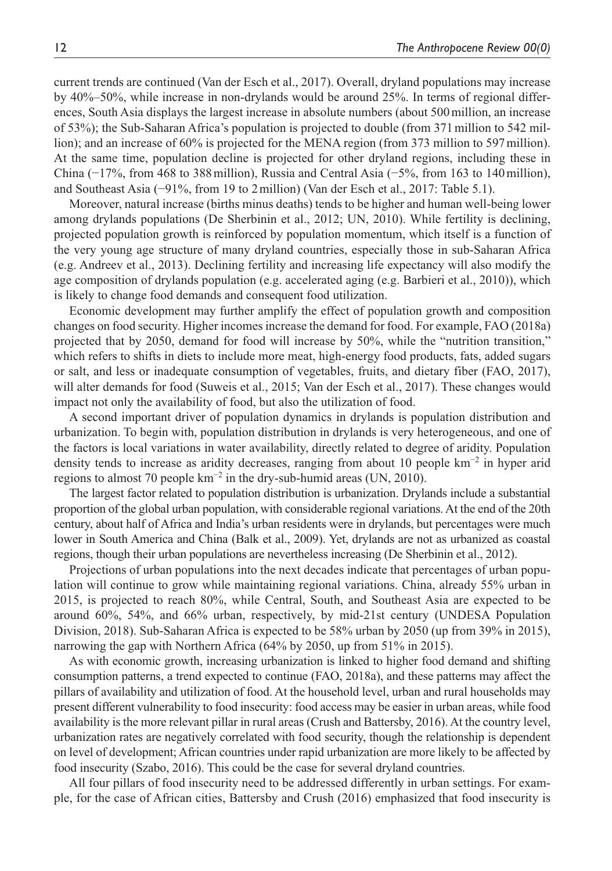current trends are continued (Van der Esch et al., 2017). Overall, dryland populations may increase by 40%–50%, while increase in non-drylands would be around 25%. In terms of regional differences, South Asia displays the largest increase in absolute numbers (about 500million, an increase of 53%); the Sub-Saharan Africa's population is projected to double (from 371million to 542 million); and an increase of 60% is projected for the MENA region (from 373 million to 597million). At the same time, population decline is projected for other dryland regions, including these in China (−17%, from 468 to 388million), Russia and Central Asia (−5%, from 163 to 140million), and Southeast Asia (−91%, from 19 to 2million) (Van der Esch et al., 2017: Table 5.1).

Moreover, natural increase (births minus deaths) tends to be higher and human well-being lower among drylands populations (De Sherbinin et al., 2012; UN, 2010). While fertility is declining, projected population growth is reinforced by population momentum, which itself is a function of the very young age structure of many dryland countries, especially those in sub-Saharan Africa (e.g. Andreev et al., 2013). Declining fertility and increasing life expectancy will also modify the age composition of drylands population (e.g. accelerated aging (e.g. Barbieri et al., 2010)), which is likely to change food demands and consequent food utilization.

Economic development may further amplify the effect of population growth and composition changes on food security. Higher incomes increase the demand for food. For example, FAO (2018a) projected that by 2050, demand for food will increase by 50%, while the "nutrition transition," which refers to shifts in diets to include more meat, high-energy food products, fats, added sugars or salt, and less or inadequate consumption of vegetables, fruits, and dietary fiber (FAO, 2017), will alter demands for food (Suweis et al., 2015; Van der Esch et al., 2017). These changes would impact not only the availability of food, but also the utilization of food.

A second important driver of population dynamics in drylands is population distribution and urbanization. To begin with, population distribution in drylands is very heterogeneous, and one of the factors is local variations in water availability, directly related to degree of aridity. Population density tends to increase as aridity decreases, ranging from about 10 people km−2 in hyper arid regions to almost 70 people km−2 in the dry-sub-humid areas (UN, 2010).

The largest factor related to population distribution is urbanization. Drylands include a substantial proportion of the global urban population, with considerable regional variations. At the end of the 20th century, about half of Africa and India's urban residents were in drylands, but percentages were much lower in South America and China (Balk et al., 2009). Yet, drylands are not as urbanized as coastal regions, though their urban populations are nevertheless increasing (De Sherbinin et al., 2012).

Projections of urban populations into the next decades indicate that percentages of urban population will continue to grow while maintaining regional variations. China, already 55% urban in 2015, is projected to reach 80%, while Central, South, and Southeast Asia are expected to be around 60%, 54%, and 66% urban, respectively, by mid-21st century (UNDESA Population Division, 2018). Sub-Saharan Africa is expected to be 58% urban by 2050 (up from 39% in 2015), narrowing the gap with Northern Africa (64% by 2050, up from 51% in 2015).

As with economic growth, increasing urbanization is linked to higher food demand and shifting consumption patterns, a trend expected to continue (FAO, 2018a), and these patterns may affect the pillars of availability and utilization of food. At the household level, urban and rural households may present different vulnerability to food insecurity: food access may be easier in urban areas, while food availability is the more relevant pillar in rural areas (Crush and Battersby, 2016). At the country level, urbanization rates are negatively correlated with food security, though the relationship is dependent on level of development; African countries under rapid urbanization are more likely to be affected by food insecurity (Szabo, 2016). This could be the case for several dryland countries.

All four pillars of food insecurity need to be addressed differently in urban settings. For example, for the case of African cities, Battersby and Crush (2016) emphasized that food insecurity is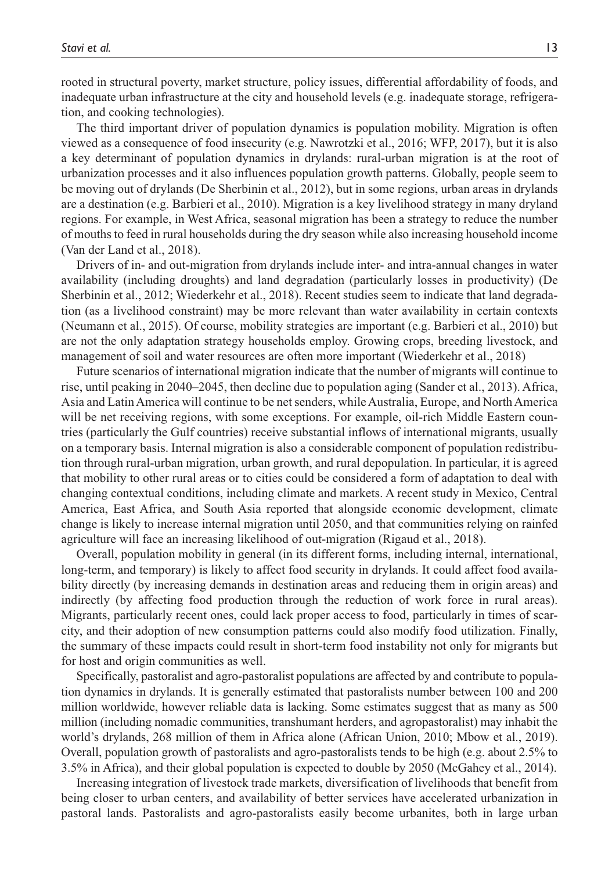rooted in structural poverty, market structure, policy issues, differential affordability of foods, and inadequate urban infrastructure at the city and household levels (e.g. inadequate storage, refrigeration, and cooking technologies).

The third important driver of population dynamics is population mobility. Migration is often viewed as a consequence of food insecurity (e.g. Nawrotzki et al., 2016; WFP, 2017), but it is also a key determinant of population dynamics in drylands: rural-urban migration is at the root of urbanization processes and it also influences population growth patterns. Globally, people seem to be moving out of drylands (De Sherbinin et al., 2012), but in some regions, urban areas in drylands are a destination (e.g. Barbieri et al., 2010). Migration is a key livelihood strategy in many dryland regions. For example, in West Africa, seasonal migration has been a strategy to reduce the number of mouths to feed in rural households during the dry season while also increasing household income (Van der Land et al., 2018).

Drivers of in- and out-migration from drylands include inter- and intra-annual changes in water availability (including droughts) and land degradation (particularly losses in productivity) (De Sherbinin et al., 2012; Wiederkehr et al., 2018). Recent studies seem to indicate that land degradation (as a livelihood constraint) may be more relevant than water availability in certain contexts (Neumann et al., 2015). Of course, mobility strategies are important (e.g. Barbieri et al., 2010) but are not the only adaptation strategy households employ. Growing crops, breeding livestock, and management of soil and water resources are often more important (Wiederkehr et al., 2018)

Future scenarios of international migration indicate that the number of migrants will continue to rise, until peaking in 2040–2045, then decline due to population aging (Sander et al., 2013). Africa, Asia and Latin America will continue to be net senders, while Australia, Europe, and North America will be net receiving regions, with some exceptions. For example, oil-rich Middle Eastern countries (particularly the Gulf countries) receive substantial inflows of international migrants, usually on a temporary basis. Internal migration is also a considerable component of population redistribution through rural-urban migration, urban growth, and rural depopulation. In particular, it is agreed that mobility to other rural areas or to cities could be considered a form of adaptation to deal with changing contextual conditions, including climate and markets. A recent study in Mexico, Central America, East Africa, and South Asia reported that alongside economic development, climate change is likely to increase internal migration until 2050, and that communities relying on rainfed agriculture will face an increasing likelihood of out-migration (Rigaud et al., 2018).

Overall, population mobility in general (in its different forms, including internal, international, long-term, and temporary) is likely to affect food security in drylands. It could affect food availability directly (by increasing demands in destination areas and reducing them in origin areas) and indirectly (by affecting food production through the reduction of work force in rural areas). Migrants, particularly recent ones, could lack proper access to food, particularly in times of scarcity, and their adoption of new consumption patterns could also modify food utilization. Finally, the summary of these impacts could result in short-term food instability not only for migrants but for host and origin communities as well.

Specifically, pastoralist and agro-pastoralist populations are affected by and contribute to population dynamics in drylands. It is generally estimated that pastoralists number between 100 and 200 million worldwide, however reliable data is lacking. Some estimates suggest that as many as 500 million (including nomadic communities, transhumant herders, and agropastoralist) may inhabit the world's drylands, 268 million of them in Africa alone (African Union, 2010; Mbow et al., 2019). Overall, population growth of pastoralists and agro-pastoralists tends to be high (e.g. about 2.5% to 3.5% in Africa), and their global population is expected to double by 2050 (McGahey et al., 2014).

Increasing integration of livestock trade markets, diversification of livelihoods that benefit from being closer to urban centers, and availability of better services have accelerated urbanization in pastoral lands. Pastoralists and agro-pastoralists easily become urbanites, both in large urban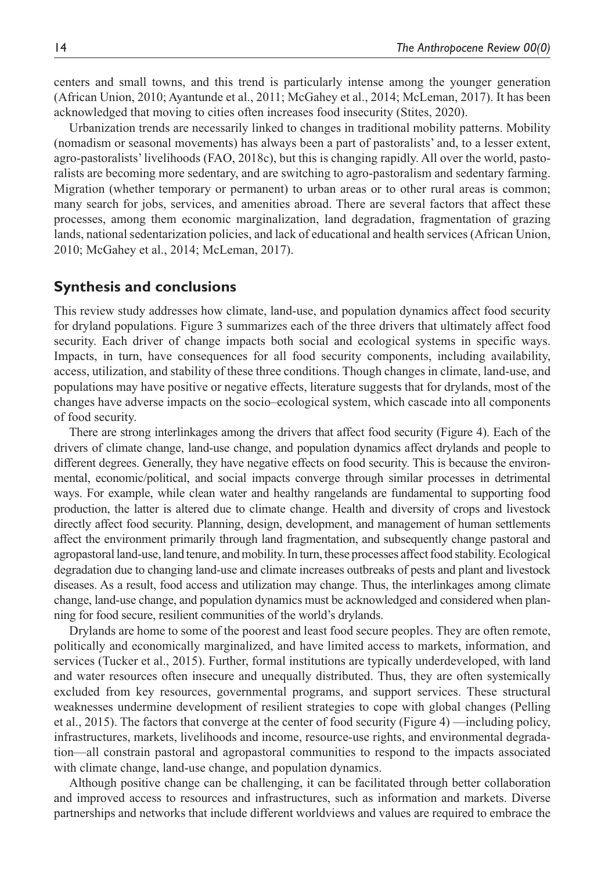centers and small towns, and this trend is particularly intense among the younger generation (African Union, 2010; Ayantunde et al., 2011; McGahey et al., 2014; McLeman, 2017). It has been acknowledged that moving to cities often increases food insecurity (Stites, 2020).

Urbanization trends are necessarily linked to changes in traditional mobility patterns. Mobility (nomadism or seasonal movements) has always been a part of pastoralists' and, to a lesser extent, agro-pastoralists' livelihoods (FAO, 2018c), but this is changing rapidly. All over the world, pastoralists are becoming more sedentary, and are switching to agro-pastoralism and sedentary farming. Migration (whether temporary or permanent) to urban areas or to other rural areas is common; many search for jobs, services, and amenities abroad. There are several factors that affect these processes, among them economic marginalization, land degradation, fragmentation of grazing lands, national sedentarization policies, and lack of educational and health services (African Union, 2010; McGahey et al., 2014; McLeman, 2017).

## **Synthesis and conclusions**

This review study addresses how climate, land-use, and population dynamics affect food security for dryland populations. Figure 3 summarizes each of the three drivers that ultimately affect food security. Each driver of change impacts both social and ecological systems in specific ways. Impacts, in turn, have consequences for all food security components, including availability, access, utilization, and stability of these three conditions. Though changes in climate, land-use, and populations may have positive or negative effects, literature suggests that for drylands, most of the changes have adverse impacts on the socio–ecological system, which cascade into all components of food security.

There are strong interlinkages among the drivers that affect food security (Figure 4). Each of the drivers of climate change, land-use change, and population dynamics affect drylands and people to different degrees. Generally, they have negative effects on food security. This is because the environmental, economic/political, and social impacts converge through similar processes in detrimental ways. For example, while clean water and healthy rangelands are fundamental to supporting food production, the latter is altered due to climate change. Health and diversity of crops and livestock directly affect food security. Planning, design, development, and management of human settlements affect the environment primarily through land fragmentation, and subsequently change pastoral and agropastoral land-use, land tenure, and mobility. In turn, these processes affect food stability. Ecological degradation due to changing land-use and climate increases outbreaks of pests and plant and livestock diseases. As a result, food access and utilization may change. Thus, the interlinkages among climate change, land-use change, and population dynamics must be acknowledged and considered when planning for food secure, resilient communities of the world's drylands.

Drylands are home to some of the poorest and least food secure peoples. They are often remote, politically and economically marginalized, and have limited access to markets, information, and services (Tucker et al., 2015). Further, formal institutions are typically underdeveloped, with land and water resources often insecure and unequally distributed. Thus, they are often systemically excluded from key resources, governmental programs, and support services. These structural weaknesses undermine development of resilient strategies to cope with global changes (Pelling et al., 2015). The factors that converge at the center of food security (Figure 4) —including policy, infrastructures, markets, livelihoods and income, resource-use rights, and environmental degradation—all constrain pastoral and agropastoral communities to respond to the impacts associated with climate change, land-use change, and population dynamics.

Although positive change can be challenging, it can be facilitated through better collaboration and improved access to resources and infrastructures, such as information and markets. Diverse partnerships and networks that include different worldviews and values are required to embrace the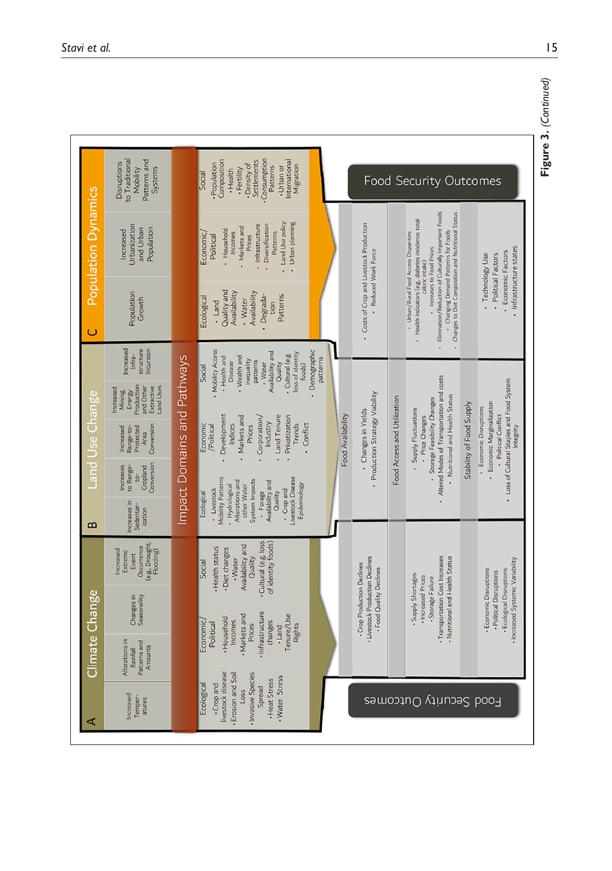|                                                 | to Traditional<br>Patterns and<br>Disruptions<br>Mobility<br><b>Systems</b>                                                           |                             | Consumption<br>Composition<br>Settlements<br>nternational<br>Population<br>- Density of<br>Patterns<br>Migration<br>·Urban or<br>·Fertility<br>· Health<br>Social<br>Food Security Outcomes                      |                         |  |                        |                                                                                          |                             |                                                                                                                                                                                                                                                                                                       |                          |                                                                                                                                         |  |
|-------------------------------------------------|---------------------------------------------------------------------------------------------------------------------------------------|-----------------------------|------------------------------------------------------------------------------------------------------------------------------------------------------------------------------------------------------------------|-------------------------|--|------------------------|------------------------------------------------------------------------------------------|-----------------------------|-------------------------------------------------------------------------------------------------------------------------------------------------------------------------------------------------------------------------------------------------------------------------------------------------------|--------------------------|-----------------------------------------------------------------------------------------------------------------------------------------|--|
| <b>Population Dynamics</b><br>$\overline{\cup}$ | Urbanization<br>and Urban<br>Population<br>Increased                                                                                  | Impact Domains and Pathways | · Land Use policy<br>Urban planning<br>Diversification<br>Infrastructure<br>Markets and<br>Household<br>Patterns<br>Economic/<br>Incomes<br>Prices<br>Political                                                  |                         |  |                        | Costs of Crop and Livestock Production<br>- Reduced Work Force                           |                             | Elimination/Reduction of Culturally Important Foods<br>- Changes to Diet Composition and Nutritional Status<br>- Health Indicators (e.g., diabetes incidence; total<br>- Changing Demand Patterns for Foods<br>· Urban/Rural Food Access Disparities<br>- Increases to Food Prices<br>caloric intake) |                          |                                                                                                                                         |  |
|                                                 | Population<br>Growth                                                                                                                  |                             | Quality and<br>Availability<br>Availability<br>- Degrada-<br>Patterns<br>Ecological<br>· Water<br>$.$ Land<br>tion                                                                                               |                         |  |                        |                                                                                          |                             |                                                                                                                                                                                                                                                                                                       |                          | · Infrastructure states<br>· Economic Factors<br>Political Factors<br>Technology Use                                                    |  |
| and Use Change                                  | Increased<br>structure<br>Incursion<br>Infra-<br>Production<br>and Other<br>Extractive<br>Land Uses<br>Increased<br>Energy<br>Mining. |                             | <b>Mobility Access</b><br>Availability and<br>loss of identity<br>Cultural (e.g.<br>- Health and<br>Wealth and<br>inequality<br>patterns<br>Quality<br><b>Disease</b><br>· Water<br>foods)<br>Social             | Demographic<br>patterns |  |                        |                                                                                          |                             |                                                                                                                                                                                                                                                                                                       |                          |                                                                                                                                         |  |
|                                                 | Conversion<br>Protected<br>Range-to-<br>Increased<br>Area                                                                             |                             | Development<br>Land Tenure<br>Privatization<br>Markets and<br>Corporation<br>Industry<br><b>Trends</b><br>Indices<br>- Conflict<br>Economic<br><b>Political</b><br>Prices                                        |                         |  | Food Availability      | - Production Strategy Viability<br>- Changes in Yields                                   | Food Access and Utilization | - Altered Modes of Transportation and costs<br>- Nutritional and Health Status<br>- Storage Feasibility Changes<br>· Supply Fluctuations<br>- Price Changes                                                                                                                                           | Stability of Food Supply | - Loss of Cultural Staples and Food System<br>- Economic Marginalization<br>- Economic Disruptions<br>· Political Conflict<br>Integrity |  |
|                                                 | Conversion<br>Increases<br>to Range-<br>Cropland<br>ģ                                                                                 |                             | Mobility Patterns<br>Livestock Disease<br>Alterations and<br>System Impacts<br>Availability and<br>Epidemiology<br>· Hydrological<br>other Water<br>Crop and<br>· Livestock<br>Quality<br>- Forage<br>Ecological |                         |  |                        |                                                                                          |                             |                                                                                                                                                                                                                                                                                                       |                          |                                                                                                                                         |  |
| œ                                               | ncreases in<br>Sedentar-<br>ization                                                                                                   |                             |                                                                                                                                                                                                                  |                         |  |                        |                                                                                          |                             |                                                                                                                                                                                                                                                                                                       |                          |                                                                                                                                         |  |
| Climate Change                                  | le.g., Drought<br>Occurrence<br>Increased<br>Extreme<br>Flooding)<br>Event                                                            |                             | Cultural (e.g. loss<br>of identity foods)<br>Availability and<br>. Health status<br>- Diet changes<br>Quality<br>· Water<br>Social                                                                               |                         |  |                        |                                                                                          |                             |                                                                                                                                                                                                                                                                                                       |                          |                                                                                                                                         |  |
|                                                 | Changes in<br>Seasonality                                                                                                             |                             | · Infrastructure<br>- Markets and<br>Tenure/Use<br>· Household<br>Economic,<br>changes<br>Incomes<br>Prices<br>Political<br>Rights<br>$-$ Land                                                                   |                         |  |                        | - Livestock Production Declines<br>- Crop Production Declines<br>· Food Quality Declines |                             | -Transportation Cost Increases<br>Nutritional and Health Status<br>· Supply Shortages<br>• Increased Prices<br>· Storage Failure                                                                                                                                                                      |                          | Increased Systemic Variability<br>- Economic Disruptions<br>- Ecological Disruptions<br>· Political Disruptions                         |  |
|                                                 | Alterations in<br>Patterns and<br>Amounts<br>Rainfall                                                                                 |                             |                                                                                                                                                                                                                  |                         |  |                        |                                                                                          |                             |                                                                                                                                                                                                                                                                                                       |                          |                                                                                                                                         |  |
| ⊄                                               | Increased<br>Temper-<br>atures                                                                                                        |                             | livestock disease<br>Erosion and Soil<br>Invasive Species<br>. Water Stress<br>· Heat Stress<br>. Crop and<br>Ecological<br>Spread<br>Loss                                                                       |                         |  | Food Security Outcomes |                                                                                          |                             |                                                                                                                                                                                                                                                                                                       |                          |                                                                                                                                         |  |

Figure 3. (Continued) **Figure 3.** *(Continued)*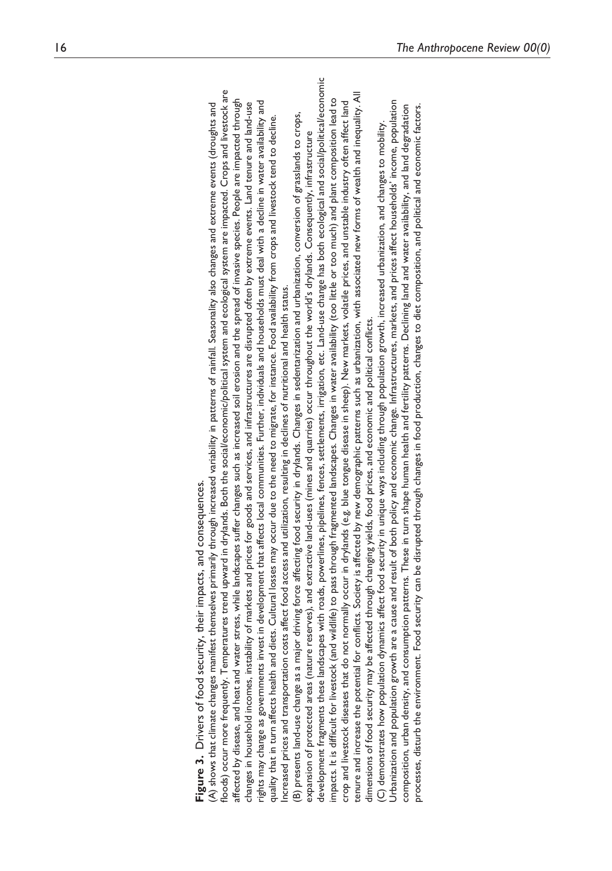**Figure 3**. Drivers of food security, their impacts, and consequencess.<br>In the security, their impacts, and consequencess<br>and a security of the impacts and product and the scale of materias fractional system and ecological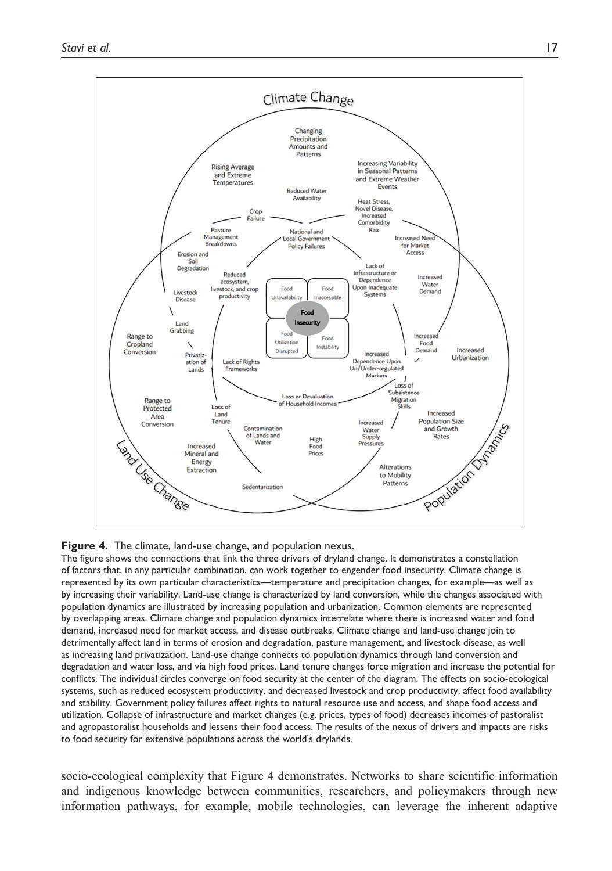

#### **Figure 4.** The climate, land-use change, and population nexus.

The figure shows the connections that link the three drivers of dryland change. It demonstrates a constellation of factors that, in any particular combination, can work together to engender food insecurity. Climate change is represented by its own particular characteristics—temperature and precipitation changes, for example—as well as by increasing their variability. Land-use change is characterized by land conversion, while the changes associated with population dynamics are illustrated by increasing population and urbanization. Common elements are represented by overlapping areas. Climate change and population dynamics interrelate where there is increased water and food demand, increased need for market access, and disease outbreaks. Climate change and land-use change join to detrimentally affect land in terms of erosion and degradation, pasture management, and livestock disease, as well as increasing land privatization. Land-use change connects to population dynamics through land conversion and degradation and water loss, and via high food prices. Land tenure changes force migration and increase the potential for conflicts. The individual circles converge on food security at the center of the diagram. The effects on socio-ecological systems, such as reduced ecosystem productivity, and decreased livestock and crop productivity, affect food availability and stability. Government policy failures affect rights to natural resource use and access, and shape food access and utilization. Collapse of infrastructure and market changes (e.g. prices, types of food) decreases incomes of pastoralist and agropastoralist households and lessens their food access. The results of the nexus of drivers and impacts are risks to food security for extensive populations across the world's drylands.

socio-ecological complexity that Figure 4 demonstrates. Networks to share scientific information and indigenous knowledge between communities, researchers, and policymakers through new information pathways, for example, mobile technologies, can leverage the inherent adaptive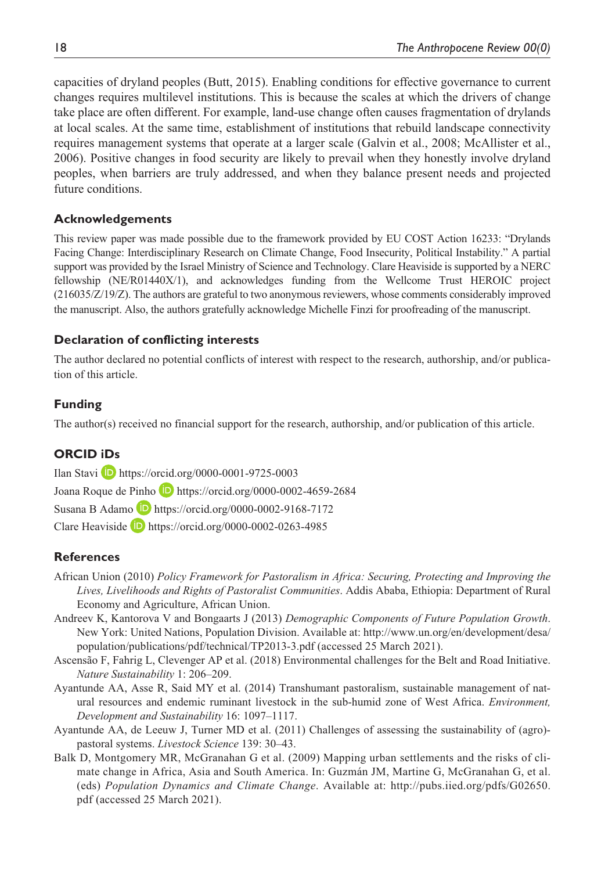capacities of dryland peoples (Butt, 2015). Enabling conditions for effective governance to current changes requires multilevel institutions. This is because the scales at which the drivers of change take place are often different. For example, land-use change often causes fragmentation of drylands at local scales. At the same time, establishment of institutions that rebuild landscape connectivity requires management systems that operate at a larger scale (Galvin et al., 2008; McAllister et al., 2006). Positive changes in food security are likely to prevail when they honestly involve dryland peoples, when barriers are truly addressed, and when they balance present needs and projected future conditions.

## **Acknowledgements**

This review paper was made possible due to the framework provided by EU COST Action 16233: "Drylands Facing Change: Interdisciplinary Research on Climate Change, Food Insecurity, Political Instability." A partial support was provided by the Israel Ministry of Science and Technology. Clare Heaviside is supported by a NERC fellowship (NE/R01440X/1), and acknowledges funding from the Wellcome Trust HEROIC project (216035/Z/19/Z). The authors are grateful to two anonymous reviewers, whose comments considerably improved the manuscript. Also, the authors gratefully acknowledge Michelle Finzi for proofreading of the manuscript.

## **Declaration of conflicting interests**

The author declared no potential conflicts of interest with respect to the research, authorship, and/or publication of this article.

## **Funding**

The author(s) received no financial support for the research, authorship, and/or publication of this article.

## **ORCID iDs**

Ilan Stavi <https://orcid.org/0000-0001-9725-0003> Joana Roque de Pinho D <https://orcid.org/0000-0002-4659-2684> Susana B Adamo **D** <https://orcid.org/0000-0002-9168-7172> Clare Heaviside **b** <https://orcid.org/0000-0002-0263-4985>

## **References**

- African Union (2010) *Policy Framework for Pastoralism in Africa: Securing, Protecting and Improving the Lives, Livelihoods and Rights of Pastoralist Communities*. Addis Ababa, Ethiopia: Department of Rural Economy and Agriculture, African Union.
- Andreev K, Kantorova V and Bongaarts J (2013) *Demographic Components of Future Population Growth*. New York: United Nations, Population Division. Available at: [http://www.un.org/en/development/desa/](http://www.un.org/en/development/desa/population/publications/pdf/technical/TP2013-3.pdf) [population/publications/pdf/technical/TP2013-3.pdf](http://www.un.org/en/development/desa/population/publications/pdf/technical/TP2013-3.pdf) (accessed 25 March 2021).
- Ascensão F, Fahrig L, Clevenger AP et al. (2018) Environmental challenges for the Belt and Road Initiative. *Nature Sustainability* 1: 206–209.
- Ayantunde AA, Asse R, Said MY et al. (2014) Transhumant pastoralism, sustainable management of natural resources and endemic ruminant livestock in the sub-humid zone of West Africa. *Environment, Development and Sustainability* 16: 1097–1117.
- Ayantunde AA, de Leeuw J, Turner MD et al. (2011) Challenges of assessing the sustainability of (agro) pastoral systems. *Livestock Science* 139: 30–43.
- Balk D, Montgomery MR, McGranahan G et al. (2009) Mapping urban settlements and the risks of climate change in Africa, Asia and South America. In: Guzmán JM, Martine G, McGranahan G, et al. (eds) *Population Dynamics and Climate Change*. Available at: [http://pubs.iied.org/pdfs/G02650.](http://pubs.iied.org/pdfs/G02650.pdf) [pdf](http://pubs.iied.org/pdfs/G02650.pdf) (accessed 25 March 2021).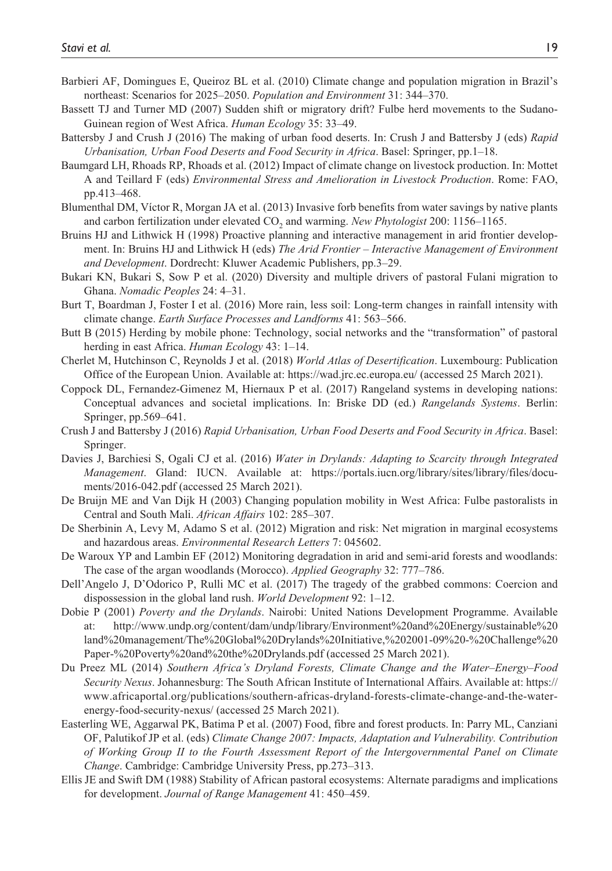- Barbieri AF, Domingues E, Queiroz BL et al. (2010) Climate change and population migration in Brazil's northeast: Scenarios for 2025–2050. *Population and Environment* 31: 344–370.
- Bassett TJ and Turner MD (2007) Sudden shift or migratory drift? Fulbe herd movements to the Sudano-Guinean region of West Africa. *Human Ecology* 35: 33–49.
- Battersby J and Crush J (2016) The making of urban food deserts. In: Crush J and Battersby J (eds) *Rapid Urbanisation, Urban Food Deserts and Food Security in Africa*. Basel: Springer, pp.1–18.
- Baumgard LH, Rhoads RP, Rhoads et al. (2012) Impact of climate change on livestock production. In: Mottet A and Teillard F (eds) *Environmental Stress and Amelioration in Livestock Production*. Rome: FAO, pp.413–468.
- Blumenthal DM, Víctor R, Morgan JA et al. (2013) Invasive forb benefits from water savings by native plants and carbon fertilization under elevated CO<sub>2</sub> and warming. *New Phytologist* 200: 1156–1165.
- Bruins HJ and Lithwick H (1998) Proactive planning and interactive management in arid frontier development. In: Bruins HJ and Lithwick H (eds) *The Arid Frontier – Interactive Management of Environment and Development*. Dordrecht: Kluwer Academic Publishers, pp.3–29.
- Bukari KN, Bukari S, Sow P et al. (2020) Diversity and multiple drivers of pastoral Fulani migration to Ghana. *Nomadic Peoples* 24: 4–31.
- Burt T, Boardman J, Foster I et al. (2016) More rain, less soil: Long-term changes in rainfall intensity with climate change. *Earth Surface Processes and Landforms* 41: 563–566.
- Butt B (2015) Herding by mobile phone: Technology, social networks and the "transformation" of pastoral herding in east Africa. *Human Ecology* 43: 1–14.
- Cherlet M, Hutchinson C, Reynolds J et al. (2018) *World Atlas of Desertification*. Luxembourg: Publication Office of the European Union. Available at: <https://wad.jrc.ec.europa.eu/>(accessed 25 March 2021).
- Coppock DL, Fernandez-Gimenez M, Hiernaux P et al. (2017) Rangeland systems in developing nations: Conceptual advances and societal implications. In: Briske DD (ed.) *Rangelands Systems*. Berlin: Springer, pp.569–641.
- Crush J and Battersby J (2016) *Rapid Urbanisation, Urban Food Deserts and Food Security in Africa*. Basel: Springer.
- Davies J, Barchiesi S, Ogali CJ et al. (2016) *Water in Drylands: Adapting to Scarcity through Integrated Management*. Gland: IUCN. Available at: [https://portals.iucn.org/library/sites/library/files/docu](https://portals.iucn.org/library/sites/library/files/documents/2016-042.pdf)[ments/2016-042.pdf](https://portals.iucn.org/library/sites/library/files/documents/2016-042.pdf) (accessed 25 March 2021).
- De Bruijn ME and Van Dijk H (2003) Changing population mobility in West Africa: Fulbe pastoralists in Central and South Mali. *African Affairs* 102: 285–307.
- De Sherbinin A, Levy M, Adamo S et al. (2012) Migration and risk: Net migration in marginal ecosystems and hazardous areas. *Environmental Research Letters* 7: 045602.
- De Waroux YP and Lambin EF (2012) Monitoring degradation in arid and semi-arid forests and woodlands: The case of the argan woodlands (Morocco). *Applied Geography* 32: 777–786.
- Dell'Angelo J, D'Odorico P, Rulli MC et al. (2017) The tragedy of the grabbed commons: Coercion and dispossession in the global land rush. *World Development* 92: 1–12.
- Dobie P (2001) *Poverty and the Drylands*. Nairobi: United Nations Development Programme. Available at: [http://www.undp.org/content/dam/undp/library/Environment%20and%20Energy/sustainable%20](http://www.undp.org/content/dam/undp/library/Environment%20and%20Energy/sustainable%20land%20management/The%20Global%20Drylands%20Initiative,%202001-09%20-%20Challenge%20Paper-%20Poverty%20and%20the%20Drylands.pdf) [land%20management/The%20Global%20Drylands%20Initiative,%202001-09%20-%20Challenge%20](http://www.undp.org/content/dam/undp/library/Environment%20and%20Energy/sustainable%20land%20management/The%20Global%20Drylands%20Initiative,%202001-09%20-%20Challenge%20Paper-%20Poverty%20and%20the%20Drylands.pdf) [Paper-%20Poverty%20and%20the%20Drylands.pdf](http://www.undp.org/content/dam/undp/library/Environment%20and%20Energy/sustainable%20land%20management/The%20Global%20Drylands%20Initiative,%202001-09%20-%20Challenge%20Paper-%20Poverty%20and%20the%20Drylands.pdf) (accessed 25 March 2021).
- Du Preez ML (2014) *Southern Africa's Dryland Forests, Climate Change and the Water–Energy–Food Security Nexus*. Johannesburg: The South African Institute of International Affairs. Available at: [https://](https://www.africaportal.org/publications/southern-africas-dryland-forests-climate-change-and-the-water-energy-food-security-nexus/) [www.africaportal.org/publications/southern-africas-dryland-forests-climate-change-and-the-water](https://www.africaportal.org/publications/southern-africas-dryland-forests-climate-change-and-the-water-energy-food-security-nexus/)[energy-food-security-nexus/](https://www.africaportal.org/publications/southern-africas-dryland-forests-climate-change-and-the-water-energy-food-security-nexus/) (accessed 25 March 2021).
- Easterling WE, Aggarwal PK, Batima P et al. (2007) Food, fibre and forest products. In: Parry ML, Canziani OF, Palutikof JP et al. (eds) *Climate Change 2007: Impacts, Adaptation and Vulnerability. Contribution of Working Group II to the Fourth Assessment Report of the Intergovernmental Panel on Climate Change*. Cambridge: Cambridge University Press, pp.273–313.
- Ellis JE and Swift DM (1988) Stability of African pastoral ecosystems: Alternate paradigms and implications for development. *Journal of Range Management* 41: 450–459.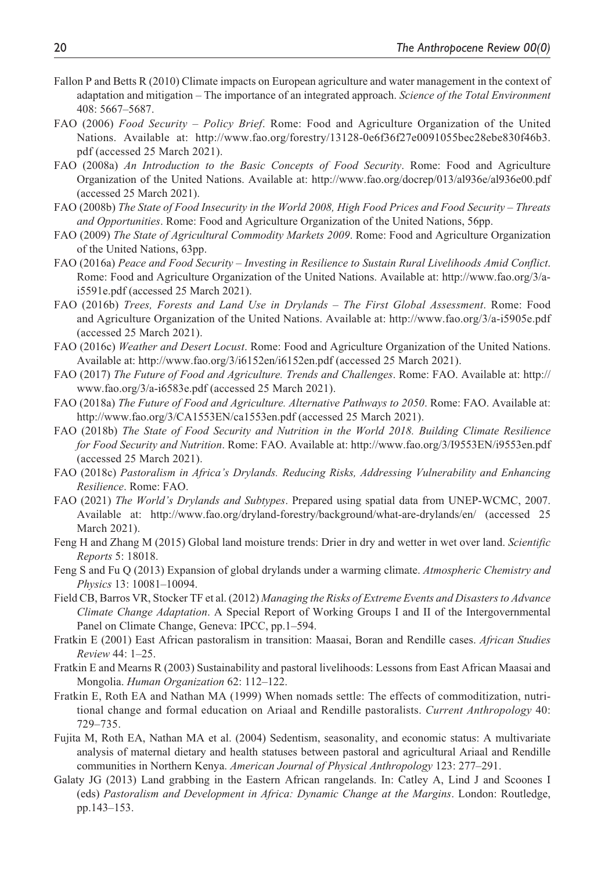- Fallon P and Betts R (2010) Climate impacts on European agriculture and water management in the context of adaptation and mitigation – The importance of an integrated approach. *Science of the Total Environment* 408: 5667–5687.
- FAO (2006) *Food Security Policy Brief*. Rome: Food and Agriculture Organization of the United Nations. Available at: [http://www.fao.org/forestry/13128-0e6f36f27e0091055bec28ebe830f46b3.](http://www.fao.org/forestry/13128-0e6f36f27e0091055bec28ebe830f46b3.pdf) [pdf](http://www.fao.org/forestry/13128-0e6f36f27e0091055bec28ebe830f46b3.pdf) (accessed 25 March 2021).
- FAO (2008a) *An Introduction to the Basic Concepts of Food Security*. Rome: Food and Agriculture Organization of the United Nations. Available at: <http://www.fao.org/docrep/013/al936e/al936e00.pdf> (accessed 25 March 2021).
- FAO (2008b) *The State of Food Insecurity in the World 2008, High Food Prices and Food Security Threats and Opportunities*. Rome: Food and Agriculture Organization of the United Nations, 56pp.
- FAO (2009) *The State of Agricultural Commodity Markets 2009*. Rome: Food and Agriculture Organization of the United Nations, 63pp.
- FAO (2016a) *Peace and Food Security Investing in Resilience to Sustain Rural Livelihoods Amid Conflict*. Rome: Food and Agriculture Organization of the United Nations. Available at: [http://www.fao.org/3/a](http://www.fao.org/3/a-i5591e.pdf)[i5591e.pdf](http://www.fao.org/3/a-i5591e.pdf) (accessed 25 March 2021).
- FAO (2016b) *Trees, Forests and Land Use in Drylands The First Global Assessment*. Rome: Food and Agriculture Organization of the United Nations. Available at: <http://www.fao.org/3/a-i5905e.pdf> (accessed 25 March 2021).
- FAO (2016c) *Weather and Desert Locust*. Rome: Food and Agriculture Organization of the United Nations. Available at:<http://www.fao.org/3/i6152en/i6152en.pdf> (accessed 25 March 2021).
- FAO (2017) *The Future of Food and Agriculture. Trends and Challenges*. Rome: FAO. Available at: [http://](http://www.fao.org/3/a-i6583e.pdf) [www.fao.org/3/a-i6583e.pdf](http://www.fao.org/3/a-i6583e.pdf) (accessed 25 March 2021).
- FAO (2018a) *The Future of Food and Agriculture. Alternative Pathways to 2050*. Rome: FAO. Available at: <http://www.fao.org/3/CA1553EN/ca1553en.pdf>(accessed 25 March 2021).
- FAO (2018b) *The State of Food Security and Nutrition in the World 2018. Building Climate Resilience for Food Security and Nutrition*. Rome: FAO. Available at:<http://www.fao.org/3/I9553EN/i9553en.pdf> (accessed 25 March 2021).
- FAO (2018c) *Pastoralism in Africa's Drylands. Reducing Risks, Addressing Vulnerability and Enhancing Resilience*. Rome: FAO.
- FAO (2021) *The World's Drylands and Subtypes*. Prepared using spatial data from UNEP-WCMC, 2007. Available at: <http://www.fao.org/dryland-forestry/background/what-are-drylands/en/> (accessed 25 March 2021).
- Feng H and Zhang M (2015) Global land moisture trends: Drier in dry and wetter in wet over land. *Scientific Reports* 5: 18018.
- Feng S and Fu Q (2013) Expansion of global drylands under a warming climate. *Atmospheric Chemistry and Physics* 13: 10081–10094.
- Field CB, Barros VR, Stocker TF et al. (2012) *Managing the Risks of Extreme Events and Disasters to Advance Climate Change Adaptation*. A Special Report of Working Groups I and II of the Intergovernmental Panel on Climate Change, Geneva: IPCC, pp.1–594.
- Fratkin E (2001) East African pastoralism in transition: Maasai, Boran and Rendille cases. *African Studies Review* 44: 1–25.
- Fratkin E and Mearns R (2003) Sustainability and pastoral livelihoods: Lessons from East African Maasai and Mongolia. *Human Organization* 62: 112–122.
- Fratkin E, Roth EA and Nathan MA (1999) When nomads settle: The effects of commoditization, nutritional change and formal education on Ariaal and Rendille pastoralists. *Current Anthropology* 40: 729–735.
- Fujita M, Roth EA, Nathan MA et al. (2004) Sedentism, seasonality, and economic status: A multivariate analysis of maternal dietary and health statuses between pastoral and agricultural Ariaal and Rendille communities in Northern Kenya. *American Journal of Physical Anthropology* 123: 277–291.
- Galaty JG (2013) Land grabbing in the Eastern African rangelands. In: Catley A, Lind J and Scoones I (eds) *Pastoralism and Development in Africa: Dynamic Change at the Margins*. London: Routledge, pp.143–153.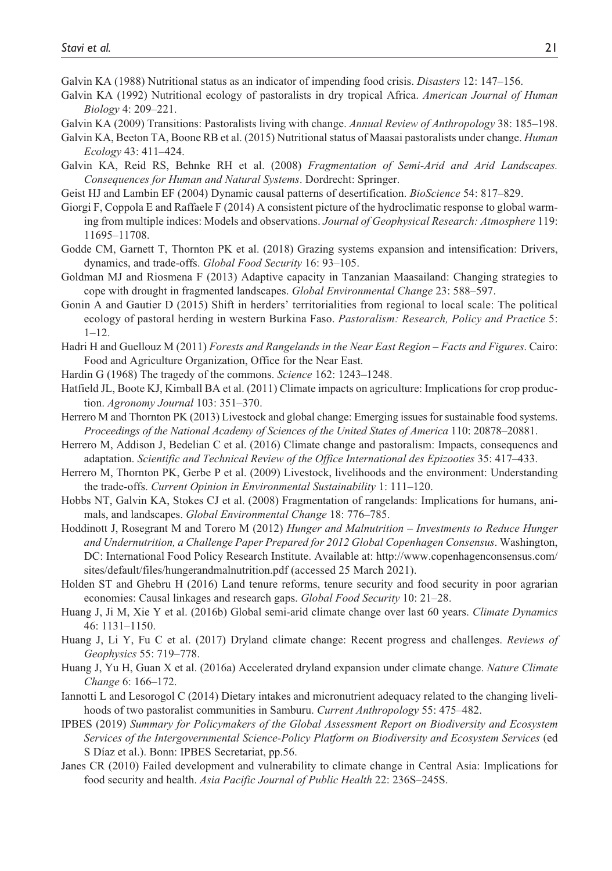Galvin KA (1988) Nutritional status as an indicator of impending food crisis. *Disasters* 12: 147–156.

- Galvin KA (1992) Nutritional ecology of pastoralists in dry tropical Africa. *American Journal of Human Biology* 4: 209–221.
- Galvin KA (2009) Transitions: Pastoralists living with change. *Annual Review of Anthropology* 38: 185–198.
- Galvin KA, Beeton TA, Boone RB et al. (2015) Nutritional status of Maasai pastoralists under change. *Human Ecology* 43: 411–424.
- Galvin KA, Reid RS, Behnke RH et al. (2008) *Fragmentation of Semi-Arid and Arid Landscapes. Consequences for Human and Natural Systems*. Dordrecht: Springer.
- Geist HJ and Lambin EF (2004) Dynamic causal patterns of desertification. *BioScience* 54: 817–829.
- Giorgi F, Coppola E and Raffaele F (2014) A consistent picture of the hydroclimatic response to global warming from multiple indices: Models and observations. *Journal of Geophysical Research: Atmosphere* 119: 11695–11708.
- Godde CM, Garnett T, Thornton PK et al. (2018) Grazing systems expansion and intensification: Drivers, dynamics, and trade-offs. *Global Food Security* 16: 93–105.
- Goldman MJ and Riosmena F (2013) Adaptive capacity in Tanzanian Maasailand: Changing strategies to cope with drought in fragmented landscapes. *Global Environmental Change* 23: 588–597.
- Gonin A and Gautier D (2015) Shift in herders' territorialities from regional to local scale: The political ecology of pastoral herding in western Burkina Faso. *Pastoralism: Research, Policy and Practice* 5:  $1 - 12$ .
- Hadri H and Guellouz M (2011) *Forests and Rangelands in the Near East Region Facts and Figures*. Cairo: Food and Agriculture Organization, Office for the Near East.
- Hardin G (1968) The tragedy of the commons. *Science* 162: 1243–1248.
- Hatfield JL, Boote KJ, Kimball BA et al. (2011) Climate impacts on agriculture: Implications for crop production. *Agronomy Journal* 103: 351–370.
- Herrero M and Thornton PK (2013) Livestock and global change: Emerging issues for sustainable food systems. *Proceedings of the National Academy of Sciences of the United States of America* 110: 20878–20881.
- Herrero M, Addison J, Bedelian C et al. (2016) Climate change and pastoralism: Impacts, consequencs and adaptation. *Scientific and Technical Review of the Office International des Epizooties* 35: 417–433.
- Herrero M, Thornton PK, Gerbe P et al. (2009) Livestock, livelihoods and the environment: Understanding the trade-offs. *Current Opinion in Environmental Sustainability* 1: 111–120.
- Hobbs NT, Galvin KA, Stokes CJ et al. (2008) Fragmentation of rangelands: Implications for humans, animals, and landscapes. *Global Environmental Change* 18: 776–785.
- Hoddinott J, Rosegrant M and Torero M (2012) *Hunger and Malnutrition Investments to Reduce Hunger and Undernutrition, a Challenge Paper Prepared for 2012 Global Copenhagen Consensus*. Washington, DC: International Food Policy Research Institute. Available at: [http://www.copenhagenconsensus.com/](http://www.copenhagenconsensus.com/sites/default/files/hungerandmalnutrition.pdf) [sites/default/files/hungerandmalnutrition.pdf](http://www.copenhagenconsensus.com/sites/default/files/hungerandmalnutrition.pdf) (accessed 25 March 2021).
- Holden ST and Ghebru H (2016) Land tenure reforms, tenure security and food security in poor agrarian economies: Causal linkages and research gaps. *Global Food Security* 10: 21–28.
- Huang J, Ji M, Xie Y et al. (2016b) Global semi-arid climate change over last 60 years. *Climate Dynamics* 46: 1131–1150.
- Huang J, Li Y, Fu C et al. (2017) Dryland climate change: Recent progress and challenges. *Reviews of Geophysics* 55: 719–778.
- Huang J, Yu H, Guan X et al. (2016a) Accelerated dryland expansion under climate change. *Nature Climate Change* 6: 166–172.
- Iannotti L and Lesorogol C (2014) Dietary intakes and micronutrient adequacy related to the changing livelihoods of two pastoralist communities in Samburu. *Current Anthropology* 55: 475–482.
- IPBES (2019) *Summary for Policymakers of the Global Assessment Report on Biodiversity and Ecosystem Services of the Intergovernmental Science-Policy Platform on Biodiversity and Ecosystem Services* (ed S Díaz et al.). Bonn: IPBES Secretariat, pp.56.
- Janes CR (2010) Failed development and vulnerability to climate change in Central Asia: Implications for food security and health. *Asia Pacific Journal of Public Health* 22: 236S–245S.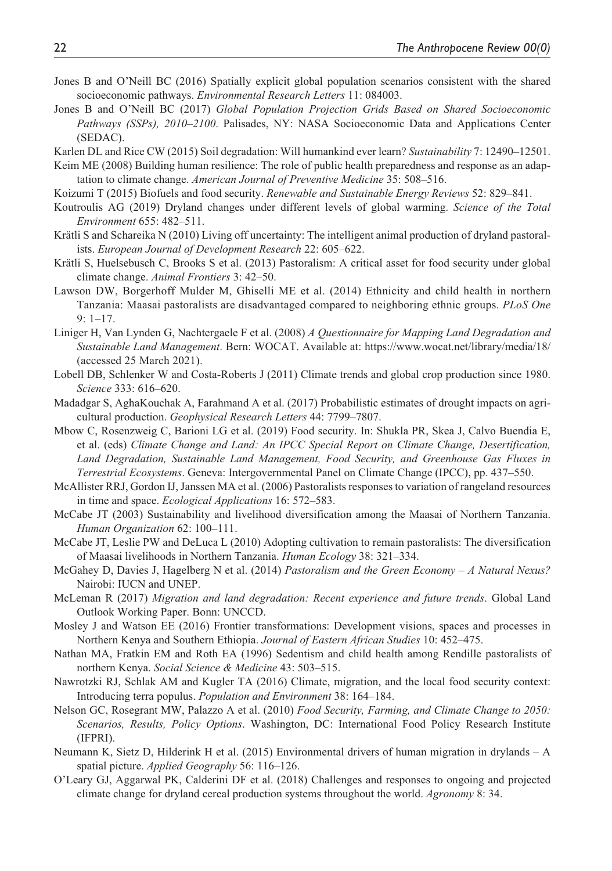- Jones B and O'Neill BC (2016) Spatially explicit global population scenarios consistent with the shared socioeconomic pathways. *Environmental Research Letters* 11: 084003.
- Jones B and O'Neill BC (2017) *Global Population Projection Grids Based on Shared Socioeconomic Pathways (SSPs), 2010–2100*. Palisades, NY: NASA Socioeconomic Data and Applications Center (SEDAC).
- Karlen DL and Rice CW (2015) Soil degradation: Will humankind ever learn? *Sustainability* 7: 12490–12501.
- Keim ME (2008) Building human resilience: The role of public health preparedness and response as an adaptation to climate change. *American Journal of Preventive Medicine* 35: 508–516.
- Koizumi T (2015) Biofuels and food security. *Renewable and Sustainable Energy Reviews* 52: 829–841.
- Koutroulis AG (2019) Dryland changes under different levels of global warming. *Science of the Total Environment* 655: 482–511.
- Krätli S and Schareika N (2010) Living off uncertainty: The intelligent animal production of dryland pastoralists. *European Journal of Development Research* 22: 605–622.
- Krätli S, Huelsebusch C, Brooks S et al. (2013) Pastoralism: A critical asset for food security under global climate change. *Animal Frontiers* 3: 42–50.
- Lawson DW, Borgerhoff Mulder M, Ghiselli ME et al. (2014) Ethnicity and child health in northern Tanzania: Maasai pastoralists are disadvantaged compared to neighboring ethnic groups. *PLoS One* 9: 1–17.
- Liniger H, Van Lynden G, Nachtergaele F et al. (2008) *A Questionnaire for Mapping Land Degradation and Sustainable Land Management*. Bern: WOCAT. Available at: <https://www.wocat.net/library/media/18/> (accessed 25 March 2021).
- Lobell DB, Schlenker W and Costa-Roberts J (2011) Climate trends and global crop production since 1980. *Science* 333: 616–620.
- Madadgar S, AghaKouchak A, Farahmand A et al. (2017) Probabilistic estimates of drought impacts on agricultural production. *Geophysical Research Letters* 44: 7799–7807.
- Mbow C, Rosenzweig C, Barioni LG et al. (2019) Food security. In: Shukla PR, Skea J, Calvo Buendia E, et al. (eds) *Climate Change and Land: An IPCC Special Report on Climate Change, Desertification, Land Degradation, Sustainable Land Management, Food Security, and Greenhouse Gas Fluxes in Terrestrial Ecosystems*. Geneva: Intergovernmental Panel on Climate Change (IPCC), pp. 437–550.
- McAllister RRJ, Gordon IJ, Janssen MA et al. (2006) Pastoralists responses to variation of rangeland resources in time and space. *Ecological Applications* 16: 572–583.
- McCabe JT (2003) Sustainability and livelihood diversification among the Maasai of Northern Tanzania. *Human Organization* 62: 100–111.
- McCabe JT, Leslie PW and DeLuca L (2010) Adopting cultivation to remain pastoralists: The diversification of Maasai livelihoods in Northern Tanzania. *Human Ecology* 38: 321–334.
- McGahey D, Davies J, Hagelberg N et al. (2014) *Pastoralism and the Green Economy A Natural Nexus?* Nairobi: IUCN and UNEP.
- McLeman R (2017) *Migration and land degradation: Recent experience and future trends*. Global Land Outlook Working Paper. Bonn: UNCCD.
- Mosley J and Watson EE (2016) Frontier transformations: Development visions, spaces and processes in Northern Kenya and Southern Ethiopia. *Journal of Eastern African Studies* 10: 452–475.
- Nathan MA, Fratkin EM and Roth EA (1996) Sedentism and child health among Rendille pastoralists of northern Kenya. *Social Science & Medicine* 43: 503–515.
- Nawrotzki RJ, Schlak AM and Kugler TA (2016) Climate, migration, and the local food security context: Introducing terra populus. *Population and Environment* 38: 164–184.
- Nelson GC, Rosegrant MW, Palazzo A et al. (2010) *Food Security, Farming, and Climate Change to 2050: Scenarios, Results, Policy Options*. Washington, DC: International Food Policy Research Institute (IFPRI).
- Neumann K, Sietz D, Hilderink H et al. (2015) Environmental drivers of human migration in drylands A spatial picture. *Applied Geography* 56: 116–126.
- O'Leary GJ, Aggarwal PK, Calderini DF et al. (2018) Challenges and responses to ongoing and projected climate change for dryland cereal production systems throughout the world. *Agronomy* 8: 34.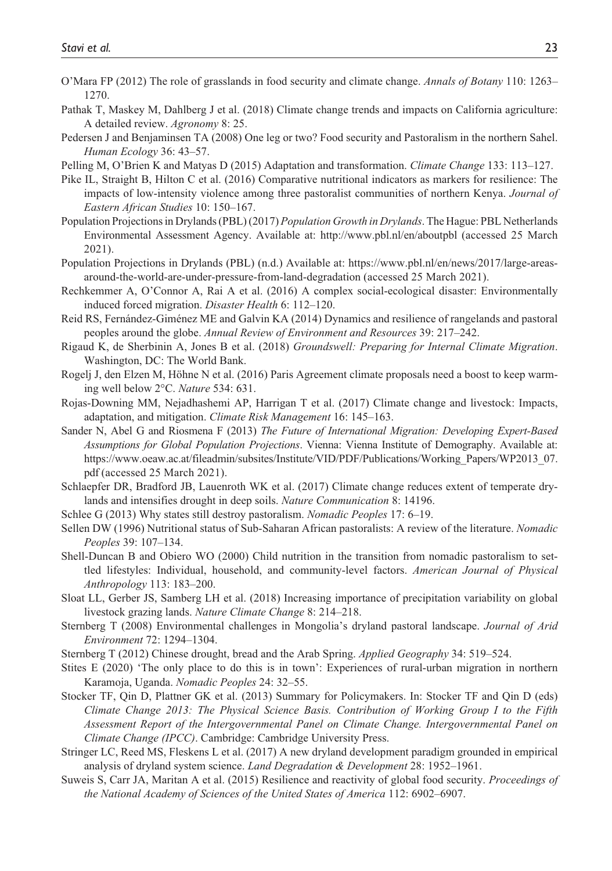- O'Mara FP (2012) The role of grasslands in food security and climate change. *Annals of Botany* 110: 1263– 1270.
- Pathak T, Maskey M, Dahlberg J et al. (2018) Climate change trends and impacts on California agriculture: A detailed review. *Agronomy* 8: 25.
- Pedersen J and Benjaminsen TA (2008) One leg or two? Food security and Pastoralism in the northern Sahel. *Human Ecology* 36: 43–57.

Pelling M, O'Brien K and Matyas D (2015) Adaptation and transformation. *Climate Change* 133: 113–127.

- Pike IL, Straight B, Hilton C et al. (2016) Comparative nutritional indicators as markers for resilience: The impacts of low-intensity violence among three pastoralist communities of northern Kenya. *Journal of Eastern African Studies* 10: 150–167.
- Population Projections in Drylands (PBL) (2017) *Population Growth in Drylands*. The Hague: PBL Netherlands Environmental Assessment Agency. Available at: <http://www.pbl.nl/en/aboutpbl> (accessed 25 March 2021).
- Population Projections in Drylands (PBL) (n.d.) Available at: [https://www.pbl.nl/en/news/2017/large-areas](https://www.pbl.nl/en/news/2017/large-areas-around-the-world-are-under-pressure-from-land-degradation)[around-the-world-are-under-pressure-from-land-degradation](https://www.pbl.nl/en/news/2017/large-areas-around-the-world-are-under-pressure-from-land-degradation) (accessed 25 March 2021).
- Rechkemmer A, O'Connor A, Rai A et al. (2016) A complex social-ecological disaster: Environmentally induced forced migration. *Disaster Health* 6: 112–120.
- Reid RS, Fernández-Giménez ME and Galvin KA (2014) Dynamics and resilience of rangelands and pastoral peoples around the globe. *Annual Review of Environment and Resources* 39: 217–242.
- Rigaud K, de Sherbinin A, Jones B et al. (2018) *Groundswell: Preparing for Internal Climate Migration*. Washington, DC: The World Bank.
- Rogelj J, den Elzen M, Höhne N et al. (2016) Paris Agreement climate proposals need a boost to keep warming well below 2°C. *Nature* 534: 631.
- Rojas-Downing MM, Nejadhashemi AP, Harrigan T et al. (2017) Climate change and livestock: Impacts, adaptation, and mitigation. *Climate Risk Management* 16: 145–163.
- Sander N, Abel G and Riosmena F (2013) *The Future of International Migration: Developing Expert-Based Assumptions for Global Population Projections*. Vienna: Vienna Institute of Demography. Available at: [https://www.oeaw.ac.at/fileadmin/subsites/Institute/VID/PDF/Publications/Working\\_Papers/WP2013\\_07.](https://www.oeaw.ac.at/fileadmin/subsites/Institute/VID/PDF/Publications/Working_Papers/WP2013_07.pdf) [pdf](https://www.oeaw.ac.at/fileadmin/subsites/Institute/VID/PDF/Publications/Working_Papers/WP2013_07.pdf) (accessed 25 March 2021).
- Schlaepfer DR, Bradford JB, Lauenroth WK et al. (2017) Climate change reduces extent of temperate drylands and intensifies drought in deep soils. *Nature Communication* 8: 14196.
- Schlee G (2013) Why states still destroy pastoralism. *Nomadic Peoples* 17: 6–19.
- Sellen DW (1996) Nutritional status of Sub-Saharan African pastoralists: A review of the literature. *Nomadic Peoples* 39: 107–134.
- Shell-Duncan B and Obiero WO (2000) Child nutrition in the transition from nomadic pastoralism to settled lifestyles: Individual, household, and community-level factors. *American Journal of Physical Anthropology* 113: 183–200.
- Sloat LL, Gerber JS, Samberg LH et al. (2018) Increasing importance of precipitation variability on global livestock grazing lands. *Nature Climate Change* 8: 214–218.
- Sternberg T (2008) Environmental challenges in Mongolia's dryland pastoral landscape. *Journal of Arid Environment* 72: 1294–1304.
- Sternberg T (2012) Chinese drought, bread and the Arab Spring. *Applied Geography* 34: 519–524.
- Stites E (2020) 'The only place to do this is in town': Experiences of rural-urban migration in northern Karamoja, Uganda. *Nomadic Peoples* 24: 32–55.
- Stocker TF, Qin D, Plattner GK et al. (2013) Summary for Policymakers. In: Stocker TF and Qin D (eds) *Climate Change 2013: The Physical Science Basis. Contribution of Working Group I to the Fifth Assessment Report of the Intergovernmental Panel on Climate Change. Intergovernmental Panel on Climate Change (IPCC)*. Cambridge: Cambridge University Press.
- Stringer LC, Reed MS, Fleskens L et al. (2017) A new dryland development paradigm grounded in empirical analysis of dryland system science. *Land Degradation & Development* 28: 1952–1961.
- Suweis S, Carr JA, Maritan A et al. (2015) Resilience and reactivity of global food security. *Proceedings of the National Academy of Sciences of the United States of America* 112: 6902–6907.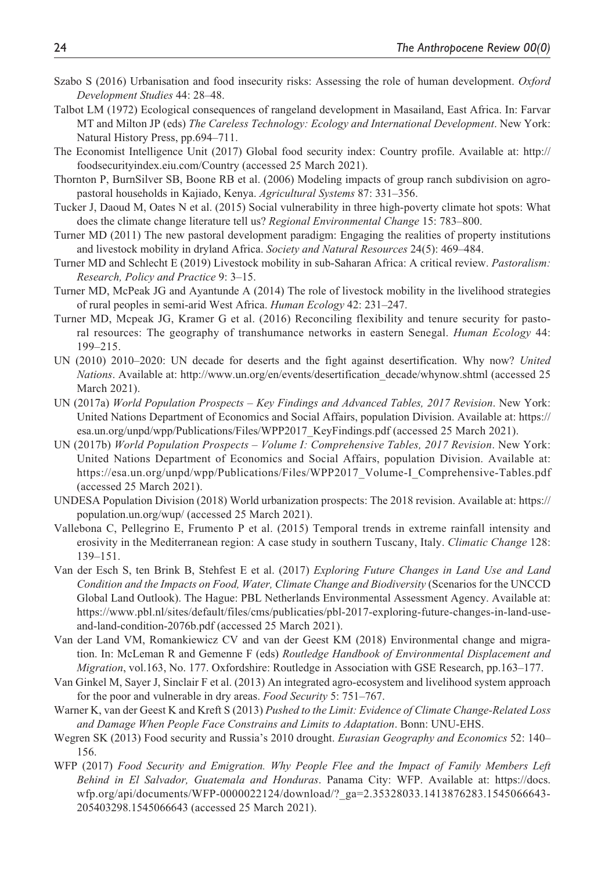- Szabo S (2016) Urbanisation and food insecurity risks: Assessing the role of human development. *Oxford Development Studies* 44: 28–48.
- Talbot LM (1972) Ecological consequences of rangeland development in Masailand, East Africa. In: Farvar MT and Milton JP (eds) *The Careless Technology: Ecology and International Development*. New York: Natural History Press, pp.694–711.
- The Economist Intelligence Unit (2017) Global food security index: Country profile. Available at: [http://](http://foodsecurityindex.eiu.com/Country) [foodsecurityindex.eiu.com/Country](http://foodsecurityindex.eiu.com/Country) (accessed 25 March 2021).
- Thornton P, BurnSilver SB, Boone RB et al. (2006) Modeling impacts of group ranch subdivision on agropastoral households in Kajiado, Kenya. *Agricultural Systems* 87: 331–356.
- Tucker J, Daoud M, Oates N et al. (2015) Social vulnerability in three high-poverty climate hot spots: What does the climate change literature tell us? *Regional Environmental Change* 15: 783–800.
- Turner MD (2011) The new pastoral development paradigm: Engaging the realities of property institutions and livestock mobility in dryland Africa. *Society and Natural Resources* 24(5): 469–484.
- Turner MD and Schlecht E (2019) Livestock mobility in sub-Saharan Africa: A critical review. *Pastoralism: Research, Policy and Practice* 9: 3–15.
- Turner MD, McPeak JG and Ayantunde A (2014) The role of livestock mobility in the livelihood strategies of rural peoples in semi-arid West Africa. *Human Ecology* 42: 231–247.
- Turner MD, Mcpeak JG, Kramer G et al. (2016) Reconciling flexibility and tenure security for pastoral resources: The geography of transhumance networks in eastern Senegal. *Human Ecology* 44: 199–215.
- UN (2010) 2010–2020: UN decade for deserts and the fight against desertification. Why now? *United Nations*. Available at: [http://www.un.org/en/events/desertification\\_decade/whynow.shtml](http://www.un.org/en/events/desertification_decade/whynow.shtml) (accessed 25 March 2021).
- UN (2017a) *World Population Prospects Key Findings and Advanced Tables, 2017 Revision*. New York: United Nations Department of Economics and Social Affairs, population Division. Available at: [https://](https://esa.un.org/unpd/wpp/Publications/Files/WPP2017_KeyFindings.pdf) [esa.un.org/unpd/wpp/Publications/Files/WPP2017\\_KeyFindings.pdf](https://esa.un.org/unpd/wpp/Publications/Files/WPP2017_KeyFindings.pdf) (accessed 25 March 2021).
- UN (2017b) *World Population Prospects Volume I: Comprehensive Tables, 2017 Revision*. New York: United Nations Department of Economics and Social Affairs, population Division. Available at: [https://esa.un.org/unpd/wpp/Publications/Files/WPP2017\\_Volume-I\\_Comprehensive-Tables.pdf](https://esa.un.org/unpd/wpp/Publications/Files/WPP2017_Volume-I_Comprehensive-Tables.pdf)  (accessed 25 March 2021).
- UNDESA Population Division (2018) World urbanization prospects: The 2018 revision. Available at: [https://](https://population.un.org/wup/) [population.un.org/wup/](https://population.un.org/wup/) (accessed 25 March 2021).
- Vallebona C, Pellegrino E, Frumento P et al. (2015) Temporal trends in extreme rainfall intensity and erosivity in the Mediterranean region: A case study in southern Tuscany, Italy. *Climatic Change* 128: 139–151.
- Van der Esch S, ten Brink B, Stehfest E et al. (2017) *Exploring Future Changes in Land Use and Land Condition and the Impacts on Food, Water, Climate Change and Biodiversity* (Scenarios for the UNCCD Global Land Outlook). The Hague: PBL Netherlands Environmental Assessment Agency. Available at: [https://www.pbl.nl/sites/default/files/cms/publicaties/pbl-2017-exploring-future-changes-in-land-use](https://www.pbl.nl/sites/default/files/cms/publicaties/pbl-2017-exploring-future-changes-in-land-use-and-land-condition-2076b.pdf)[and-land-condition-2076b.pdf](https://www.pbl.nl/sites/default/files/cms/publicaties/pbl-2017-exploring-future-changes-in-land-use-and-land-condition-2076b.pdf) (accessed 25 March 2021).
- Van der Land VM, Romankiewicz CV and van der Geest KM (2018) Environmental change and migration. In: McLeman R and Gemenne F (eds) *Routledge Handbook of Environmental Displacement and Migration*, vol.163, No. 177. Oxfordshire: Routledge in Association with GSE Research, pp.163–177.
- Van Ginkel M, Sayer J, Sinclair F et al. (2013) An integrated agro-ecosystem and livelihood system approach for the poor and vulnerable in dry areas. *Food Security* 5: 751–767.
- Warner K, van der Geest K and Kreft S (2013) *Pushed to the Limit: Evidence of Climate Change-Related Loss and Damage When People Face Constrains and Limits to Adaptation*. Bonn: UNU-EHS.
- Wegren SK (2013) Food security and Russia's 2010 drought. *Eurasian Geography and Economics* 52: 140– 156.
- WFP (2017) *Food Security and Emigration. Why People Flee and the Impact of Family Members Left Behind in El Salvador, Guatemala and Honduras*. Panama City: WFP. Available at: [https://docs.](https://docs.wfp.org/api/documents/WFP-0000022124/download/?_ga=2.35328033.1413876283.1545066643-205403298.1545066643) [wfp.org/api/documents/WFP-0000022124/download/?\\_ga=2.35328033.1413876283.1545066643-](https://docs.wfp.org/api/documents/WFP-0000022124/download/?_ga=2.35328033.1413876283.1545066643-205403298.1545066643) [205403298.1545066643](https://docs.wfp.org/api/documents/WFP-0000022124/download/?_ga=2.35328033.1413876283.1545066643-205403298.1545066643) (accessed 25 March 2021).